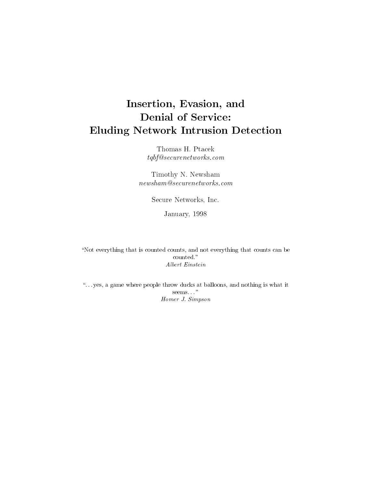# Insertion, Evasion, and Denial of Service: Eluding Network Intrusion Detection

Thomas H. Ptacek tqbf@securenetworks.com

Timothy N. Newsham newsham@securenetworks.com

Secure Networks, Inc.

January, <sup>1998</sup>

\Not everything that is counted counts, and not everything that counts can be counted." Albert Einstein

\. . . yes, a game where people throw ducks at balloons, and nothing is what it seems. . . " Homer J. Simpson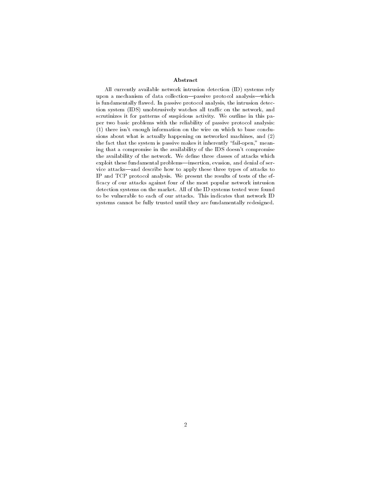#### Abstract

All currently available network intrusion detection (ID) systems rely upon a mechanism of data collection-passive protocol analysis-which is fundamentally flawed. In passive protocol analysis, the intrusion detection system (IDS) unobtrusively watches all traffic on the network, and scrutinizes it for patterns of suspicious activity. We outline in this paper two basic problems with the reliability of passive protocol analysis: (1) there isn't enough information on the wire on which to base conclusions about what is actually happening on networked machines, and (2) the fact that the system is passive makes it inherently "fail-open," meaning that a compromise in the availability of the IDS doesn't compromise the availability of the network. We define three classes of attacks which exploit these fundamental problems-insertion, evasion, and denial of service attacks—and describe how to apply these three types of attacks to IP and TCP protocol analysis. We present the results of tests of the ef ficacy of our attacks against four of the most popular network intrusion detection systems on the market. All of the ID systems tested were found to be vulnerable to each of our attacks. This indicates that network ID systems cannot be fully trusted until they are fundamentally redesigned.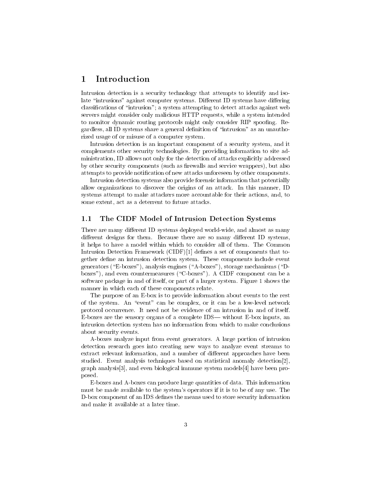#### 1  $\operatorname{Introduction}$

Intrusion detection is a security technology that attempts to identify and isolate "intrusions" against computer systems. Different ID systems have differing classifications of "intrusion"; a system attempting to detect attacks against web servers might consider only malicious HTTP requests, while a system intended to monitor dynamic routing protocols might only consider RIP spoofing. Regardless, all ID systems share a general definition of "intrusion" as an unauthorized usage of or misuse of a computer system.

Intrusion detection is an important component of a security system, and it complements other security technologies. By providing information to site administration, ID allows not only for the detection of attacks explicitly addressed by other security components (such as firewalls and service wrappers), but also attempts to provide notication of new attacks unforeseen by other components.

Intrusion detection systems also provide forensic information that potentially allow organizations to discover the origins of an attack. In this manner, ID systems attempt to make attackers more accountable for their actions, and, to some extent, act as a deterrent to future attacks.

#### $1.1$ The CIDF Model of Intrusion Detection Systems

There are many different ID systems deployed world-wide, and almost as many different designs for them. Because there are so many different ID systems, it helps to have a model within which to consider all of them. The Common Intrusion Detection Framework  $\text{(CIDF)}[1]$  defines a set of components that together define an intrusion detection system. These components include event generators ("E-boxes"), analysis engines ("A-boxes"), storage mechanisms ("Dboxes"), and even countermeasures ("C-boxes"). A CIDF component can be a software package in and of itself, or part of a larger system. Figure 1 shows the manner in which each of these components relate.

The purpose of an E-box is to provide information about events to the rest of the system. An "event" can be complex, or it can be a low-level network protocol occurrence. It need not be evidence of an intrusion in and of itself. E-boxes are the sensory organs of a complete IDS— without E-box inputs, an intrusion detection system has no information from which to make conclusions about security events.

A-boxes analyze input from event generators. A large portion of intrusion detection research goes into creating new ways to analyze event streams to extract relevant information, and a number of different approaches have been studied. Event analysis techniques based on statistical anomaly detection[2], graph analysis[3], and even biological immune system models[4] have been proposed. posed.

E-boxes and A-boxes can produce large quantities of data. This information must be made available to the system's operators if it is to be of any use. The D-box component of an IDS defines the means used to store security information and make it available at a later time.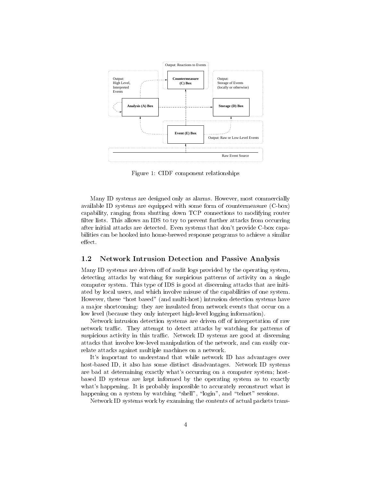

Figure 1: CIDF component relationships

Many ID systems are designed only as alarms. However, most commercially available ID systems are equipped with some form of countermeasure (C-box) capability, ranging from shutting down TCP connections to modifying router filter lists. This allows an IDS to try to prevent further attacks from occurring after initial attacks are detected. Even systems that don't provide C-box capabilities can be hooked into home-brewed response programs to achieve a similar effect.

#### $1.2$ Network Intrusion Detection and Passive Analysis

Many ID systems are driven off of audit logs provided by the operating system, detecting attacks by watching for suspicious patterns of activity on a single computer system. This type of IDS is good at discerning attacks that are initiated by local users, and which involve misuse of the capabilities of one system. However, these "host based" (and multi-host) intrusion detection systems have a major shortcoming: they are insulated from network events that occur on a low level (because they only interpret high-level logging information).

Network intrusion detection systems are driven off of interpretation of raw network traffic. They attempt to detect attacks by watching for patterns of suspicious activity in this traffic. Network ID systems are good at discerning attacks that involve low-level manipulation of the network, and can easily correlate attacks against multiple machines on a network.

It's important to understand that while network ID has advantages over host-based ID, it also has some distinct disadvantages. Network ID systems are bad at determining exactly what's occurring on a computer system; hostbased ID systems are kept informed by the operating system as to exactly what's happening. It is probably impossible to accurately reconstruct what is happening on a system by watching "shell", "login", and "telnet" sessions.

Network ID systems work by examining the contents of actual packets trans-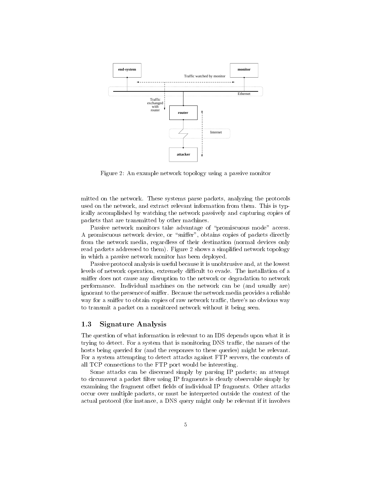

Figure 2: An example network topology using a passive monitor

mitted on the network. These systems parse packets, analyzing the protocols used on the network, and extract relevant information from them. This is typically accomplished by watching the network passively and capturing copies of packets that are transmitted by other machines.

Passive network monitors take advantage of "promiscuous mode" access. A promiscuous network device, or "sniffer", obtains copies of packets directly from the network media, regardless of their destination (normal devices only read packets addressed to them). Figure 2 shows a simplified network topology in which a passive network monitor has been deployed.

Passive protocol analysis is useful because it is unobtrusive and, at the lowest levels of network operation, extremely difficult to evade. The installation of a sniffer does not cause any disruption to the network or degradation to network performance. Individual machines on the network can be (and usually are) ignorant to the presence of sniffer. Because the network media provides a reliable way for a sniffer to obtain copies of raw network traffic, there's no obvious way to transmit a packet on a monitored network without it being seen.

### 1.3 Signature Analysis

The question of what information is relevant to an IDS depends upon what it is trying to detect. For a system that is monitoring DNS traffic, the names of the hosts being queried for (and the responses to these queries) might be relevant. For a system attempting to detect attacks against FTP servers, the contents of all TCP connections to the FTP port would be interesting.

Some attacks can be discerned simply by parsing IP packets; an attempt to circumvent a packet filter using IP fragments is clearly observable simply by examining the fragment offset fields of individual IP fragments. Other attacks occur over multiple packets, or must be interpreted outside the context of the actual protocol (for instance, a DNS query might only be relevant if it involves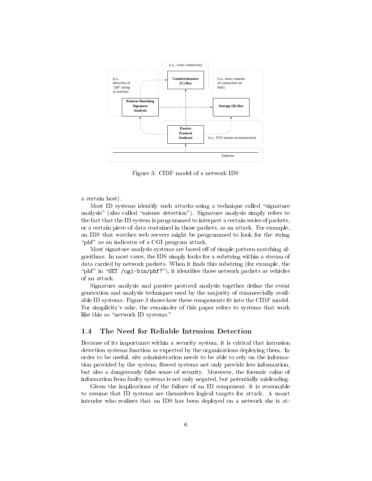

Figure 3: CIDF model of a network IDS

a certain host).

Most ID systems identify such attacks using a technique called "signature" analysis" (also called \misuse detection"). Signature analysis simply refers to the fact that the ID system is programmed to interpret a certain series of packets, or a certain piece of data contained in those packets, as an attack. For example, an IDS that watches web servers might be programmed to look for the string " $\text{phf}$ " as an indicator of a CGI program attack.

Most signature analysis systems are based off of simple pattern matching algorithms. In most cases, the IDS simply looks for a substring within a stream of data carried by network packets. When it finds this substring (for example, the "phf" in "GET /cgi-bin/phf?"), it identifies those network packets as vehicles of an attack.

Signature analysis and passive protocol analysis together define the event generation and analysis techniques used by the ma jority of commercially available ID systems. Figure 3 shows how these components fit into the CIDF model. For simplicity's sake, the remainder of this paper refers to systems that work like this as "network ID systems."

### 1.4 The Need for Reliable Intrusion Detection

Because of its importance within a security system, it is critical that intrusion detection systems function as expected by the organizations deploying them. In order to be useful, site administration needs to be able to rely on the information provided by the system; flawed systems not only provide less information, but also a dangerously false sense of security. Moreover, the forensic value of information from faulty systems is not only negated, but potentially misleading.

Given the implications of the failure of an ID component, it is reasonable to assume that ID systems are themselves logical targets for attack. A smart intruder who realizes that an IDS has been deployed on a network she is at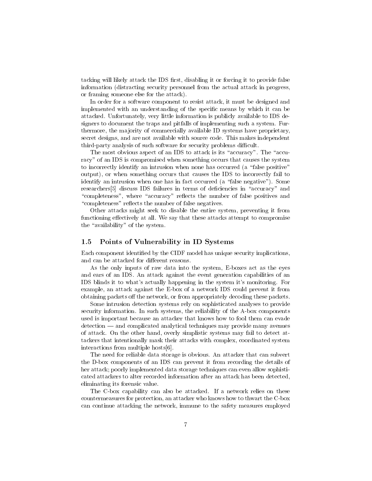tacking will likely attack the IDS first, disabling it or forcing it to provide false information (distracting security personnel from the actual attack in progress, or framing someone else for the attack).

In order for a software component to resist attack, it must be designed and implemented with an understanding of the specic means by which it can be attacked. Unfortunately, very little information is publicly available to IDS designers to document the traps and pitfalls of implementing such a system. Furthermore, the majority of commercially available ID systems have proprietary, secret designs, and are not available with source code. This makes independent third-party analysis of such software for security problems difficult.

The most obvious aspect of an IDS to attack is its "accuracy". The "accuracy" of an IDS is compromised when something occurs that causes the system to incorrectly identify an intrusion when none has occurred (a "false positive" output), or when something occurs that causes the IDS to incorrectly fail to identify an intrusion when one has in fact occurred (a \false negative"). Some researchers<sup>[5]</sup> discuss IDS failures in terms of deficiencies in "accuracy" and "completeness", where "accuracy" reflects the number of false positives and "completeness" reflects the number of false negatives.

Other attacks might seek to disable the entire system, preventing it from functioning effectively at all. We say that these attacks attempt to compromise the "availability" of the system.

### 1.5 Points of Vulnerability in ID Systems

Each component identied by the CIDF model has unique security implications, and can be attacked for different reasons.

As the only inputs of raw data into the system, E-boxes act as the eyes and ears of an IDS. An attack against the event generation capabilities of an IDS blinds it to what's actually happening in the system it's monitoring. For example, an attack against the E-box of a network IDS could prevent it from obtaining packets off the network, or from appropriately decoding these packets.

Some intrusion detection systems rely on sophisticated analyses to provide security information. In such systems, the reliability of the A-box components used is important because an attacker that knows how to fool them can evade detection — and complicated analytical techniques may provide many avenues of attack. On the other hand, overly simplistic systems may fail to detect attackers that intentionally mask their attacks with complex, coordinated system interactions from multiple hosts[6].

The need for reliable data storage is obvious. An attacker that can subvert the D-box components of an IDS can prevent it from recording the details of her attack; poorly implemented data storage techniques can even allow sophisticated attackers to alter recorded information after an attack has been detected, eliminating its forensic value.

The C-box capability can also be attacked. If a network relies on these countermeasures for protection, an attacker who knows how to thwart the C-box can continue attacking the network, immune to the safety measures employed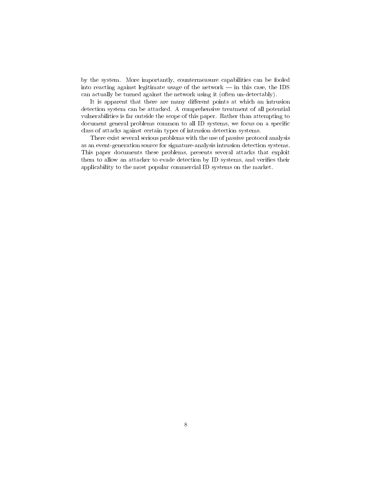by the system. More importantly, countermeasure capabilities can be fooled into reacting against legitimate usage of the network  $-$  in this case, the IDS can actually be turned against the network using it (often un-detectably).

It is apparent that there are many different points at which an intrusion detection system can be attacked. A comprehensive treatment of all potential vulnerabilities is far outside the scope of this paper. Rather than attempting to document general problems common to all ID systems, we focus on a specific class of attacks against certain types of intrusion detection systems.

There exist several serious problems with the use of passive protocol analysis as an event-generation source for signature-analysis intrusion detection systems. This paper documents these problems, presents several attacks that exploit them to allow an attacker to evade detection by ID systems, and verifies their applicability to the most popular commercial ID systems on the market.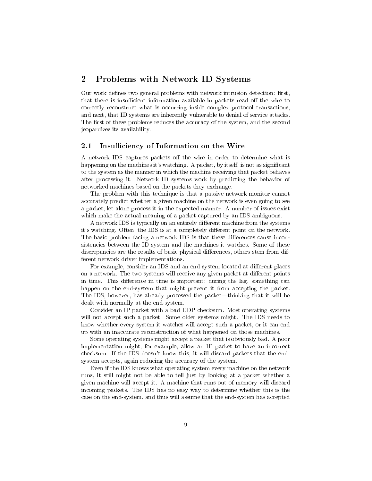## 2 Problems with Network ID Systems

Our work defines two general problems with network intrusion detection: first, that there is insufficient information available in packets read off the wire to correctly reconstruct what is occurring inside complex protocol transactions, and next, that ID systems are inherently vulnerable to denial of service attacks. The first of these problems reduces the accuracy of the system, and the second jeopardizes its availability.

### 2.1 Insufficiency of Information on the Wire

A network IDS captures packets off the wire in order to determine what is happening on the machines it's watching. A packet, by itself, is not as significant to the system as the manner in which the machine receiving that packet behaves after processing it. Network ID systems work by predicting the behavior of networked machines based on the packets they exchange.

The problem with this technique is that a passive network monitor cannot accurately predict whether a given machine on the network is even going to see a packet, let alone process it in the expected manner. A number of issues exist which make the actual meaning of a packet captured by an IDS ambiguous.

A network IDS is typically on an entirely different machine from the systems it's watching. Often, the IDS is at a completely different point on the network. The basic problem facing a network IDS is that these differences cause inconsistencies between the ID system and the machines it watches. Some of these discrepancies are the results of basic physical differences, others stem from different network driver implementations.

For example, consider an IDS and an end-system located at different places on a network. The two systems will receive any given packet at different points in time. This difference in time is important; during the lag, something can happen on the end-system that might prevent it from accepting the packet. The IDS, however, has already processed the packet—thinking that it will be dealt with normally at the end-system.

Consider an IP packet with a bad UDP checksum. Most operating systems will not accept such a packet. Some older systems might. The IDS needs to know whether every system it watches will accept such a packet, or it can end up with an inaccurate reconstruction of what happened on those machines.

Some operating systems might accept a packet that is obviously bad. A poor implementation might, for example, allow an IP packet to have an incorrect checksum. If the IDS doesn't know this, it will discard packets that the endsystem accepts, again reducing the accuracy of the system.

Even if the IDS knows what operating system every machine on the network runs, it still might not be able to tell just by looking at a packet whether a given machine will accept it. A machine that runs out of memory will discard incoming packets. The IDS has no easy way to determine whether this is the case on the end-system, and thus will assume that the end-system has accepted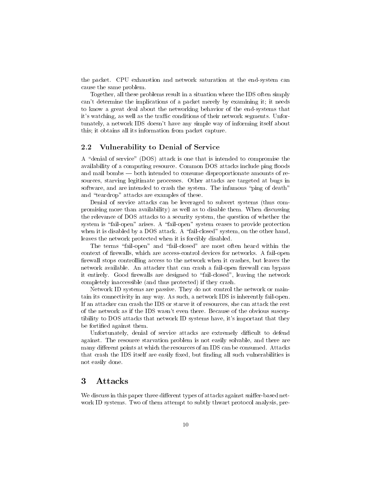the packet. CPU exhaustion and network saturation at the end-system can cause the same problem.

Together, all these problems result in a situation where the IDS often simply can't determine the implications of a packet merely by examining it; it needs to know a great deal about the networking behavior of the end-systems that it's watching, as well as the traffic conditions of their network segments. Unfortunately, a network IDS doesn't have any simple way of informing itself about this; it obtains all its information from packet capture.

### 2.2 Vulnerability to Denial of Service

A "denial of service" (DOS) attack is one that is intended to compromise the availability of a computing resource. Common DOS attacks include ping floods and mail bombs — both intended to consume disproportionate amounts of resources, starving legitimate processes. Other attacks are targeted at bugs in software, and are intended to crash the system. The infamous "ping of death" and "teardrop" attacks are examples of these.

Denial of service attacks can be leveraged to subvert systems (thus compromising more than availability) as well as to disable them. When discussing the relevance of DOS attacks to a security system, the question of whether the system is "fail-open" arises. A "fail-open" system ceases to provide protection when it is disabled by a DOS attack. A "fail-closed" system, on the other hand, leaves the network protected when it is forcibly disabled.

The terms "fail-open" and "fail-closed" are most often heard within the context of firewalls, which are access-control devices for networks. A fail-open firewall stops controlling access to the network when it crashes, but leaves the network available. An attacker that can crash a fail-open firewall can bypass it entirely. Good firewalls are designed to "fail-closed", leaving the network completely inaccessible (and thus protected) if they crash.

Network ID systems are passive. They do not control the network or maintain its connectivity in any way. As such, a network IDS is inherently fail-open. If an attacker can crash the IDS or starve it of resources, she can attack the rest of the network as if the IDS wasn't even there. Because of the obvious susceptibility to DOS attacks that network ID systems have, it's important that they be fortied against them.

Unfortunately, denial of service attacks are extremely difficult to defend against. The resource starvation problem is not easily solvable, and there are many different points at which the resources of an IDS can be consumed. Attacks that crash the IDS itself are easily fixed, but finding all such vulnerabilities is not easily done.

#### 3  $\rm Attacks$

We discuss in this paper three different types of attacks against sniffer-based network ID systems. Two of them attempt to subtly thwart protocol analysis, pre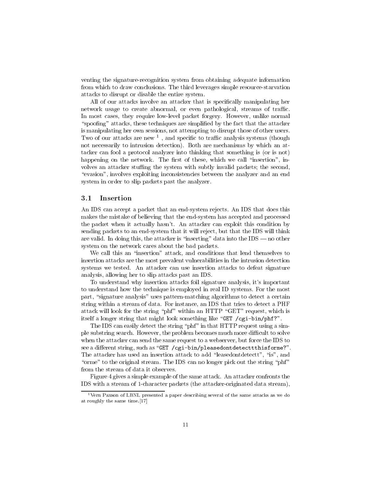venting the signature-recognition system from obtaining adequate information from which to draw conclusions. The third leverages simple resource-starvation attacks to disrupt or disable the entire system.

All of our attacks involve an attacker that is specically manipulating her network usage to create abnormal, or even pathological, streams of traffic. In most cases, they require low-level packet forgery. However, unlike normal "spoofing" attacks, these techniques are simplified by the fact that the attacker is manipulating her own sessions, not attempting to disrupt those of other users. Two of our attacks are new  $\bar{\phantom{a}}$ , and specific to trainc analysis systems (though not necessarily to intrusion detection). Both are mechanisms by which an attacker can fool a protocol analyzer into thinking that something is (or is not) happening on the network. The first of these, which we call "insertion", involves an attacker stuffing the system with subtly invalid packets; the second, \evasion", involves exploiting inconsistencies between the analyzer and an end system in order to slip packets past the analyzer.

#### Insertion  $3.1$

An IDS can accept a packet that an end-system rejects. An IDS that does this makes the mistake of believing that the end-system has accepted and processed the packet when it actually hasn't. An attacker can exploit this condition by sending packets to an end-system that it will reject, but that the IDS will think are valid. In doing this, the attacker is "inserting" data into the  $IDS$  — no other system on the network cares about the bad packets.

We call this an "insertion" attack, and conditions that lend themselves to insertion attacks are the most prevalent vulnerabilities in the intrusion detection systems we tested. An attacker can use insertion attacks to defeat signature analysis, allowing her to slip attacks past an IDS.

To understand why insertion attacks foil signature analysis, it's important to understand how the technique is employed in real ID systems. For the most part, "signature analysis" uses pattern-matching algorithms to detect a certain string within a stream of data. For instance, an IDS that tries to detect a PHF attack will look for the string "phf" within an HTTP "GET" request, which is itself a longer string that might look something like "GET /cgi-bin/phf?".

The IDS can easily detect the string "phf" in that HTTP request using a simple substring search. However, the problem becomes much more difficult to solve when the attacker can send the same request to a webserver, but force the IDS to see a different string, such as "GET /cgi-bin/pleasedontdetecttthisforme?". The attacker has used an insertion attack to add "leasedontdetectt", "is", and " $\overline{\text{orme}}$ " to the original stream. The IDS can no longer pick out the string " $\text{ph}$ " from the stream of data it observes.

Figure 4 gives a simple example of the same attack. An attacker confronts the IDS with a stream of 1-character packets (the attacker-originated data stream),

 $1$ Vern Paxson of LBNL presented a paper describing several of the same attacks as we do at roughly the same time.[17]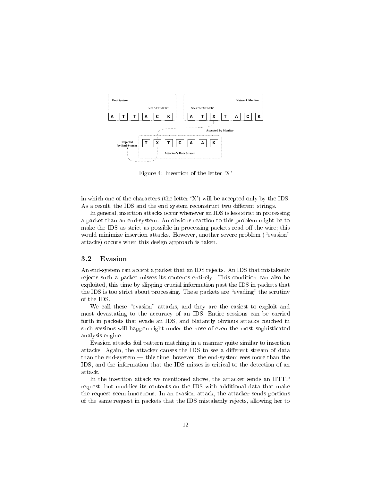

Figure 4: Insertion of the letter 'X'

in which one of the characters (the letter  $'X'$ ) will be accepted only by the IDS. As a result, the IDS and the end system reconstruct two different strings.

In general, insertion attacks occur whenever an IDS is less strict in processing a packet than an end-system. An obvious reaction to this problem might be to make the IDS as strict as possible in processing packets read off the wire; this would minimize insertion attacks. However, another severe problem ("evasion" attacks) occurs when this design approach is taken.

#### $3.2$ **Evasion**

An end-system can accept a packet that an IDS rejects. An IDS that mistakenly rejects such a packet misses its contents entirely. This condition can also be exploited, this time by slipping crucial information past the IDS in packets that the IDS is too strict about processing. These packets are "evading" the scrutiny of the IDS.

We call these "evasion" attacks, and they are the easiest to exploit and most devastating to the accuracy of an IDS. Entire sessions can be carried forth in packets that evade an IDS, and blatantly obvious attacks couched in such sessions will happen right under the nose of even the most sophisticated analysis engine.

Evasion attacks foil pattern matching in a manner quite similar to insertion attacks. Again, the attacker causes the IDS to see a different stream of data than the end-system  $-$  this time, however, the end-system sees more than the IDS, and the information that the IDS misses is critical to the detection of an

In the insertion attack we mentioned above, the attacker sends an HTTP request, but muddies its contents on the IDS with additional data that make the request seem innocuous. In an evasion attack, the attacker sends portions of the same request in packets that the IDS mistakenly rejects, allowing her to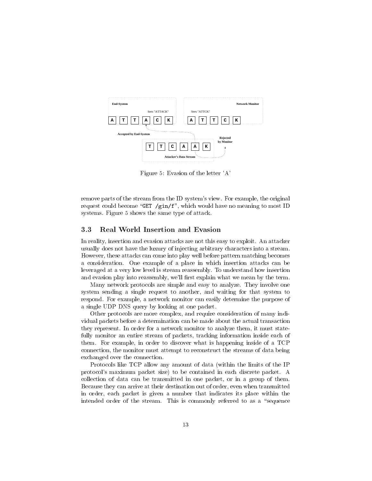

Figure 5: Evasion of the letter 'A'

remove parts of the stream from the ID system's view. For example, the original request could become "GET /gin/f", which would have no meaning to most ID systems. Figure 5 shows the same type of attack.

### 3.3 Real World Insertion and Evasion

In reality, insertion and evasion attacks are not this easy to exploit. An attacker usually does not have the luxury of injecting arbitrary characters into a stream. However, these attacks can come into play well before pattern matching becomes a consideration. One example of a place in which insertion attacks can be leveraged at a very low level is stream reassembly. To understand how insertion and evasion play into reassembly, we'll first explain what we mean by the term.

Many network protocols are simple and easy to analyze. They involve one system sending a single request to another, and waiting for that system to respond. For example, a network monitor can easily determine the purpose of a single UDP DNS query by looking at one packet.

Other protocols are more complex, and require consideration of many individual packets before a determination can be made about the actual transaction they represent. In order for a network monitor to analyze them, it must statefully monitor an entire stream of packets, tracking information inside each of them. For example, in order to discover what is happening inside of a TCP connection, the monitor must attempt to reconstruct the streams of data being exchanged over the connection.

Protocols like TCP allow any amount of data (within the limits of the IP protocol's maximum packet size) to be contained in each discrete packet. A collection of data can be transmitted in one packet, or in a group of them. Because they can arrive at their destination out of order, even when transmitted in order, each packet is given a number that indicates its place within the intended order of the stream. This is commonly referred to as a "sequence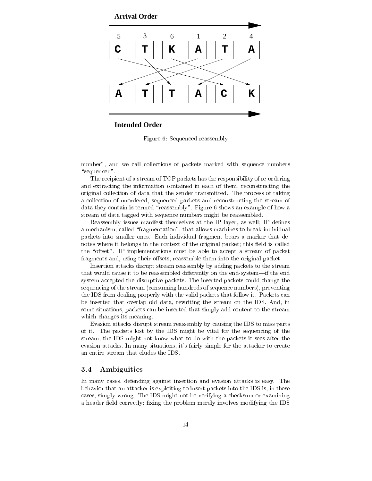**Arrival Order**



### **Intended Order**

Figure 6: Sequenced reassembly

number", and we call collections of packets marked with sequence numbers "sequenced"

The recipient of a stream of TCP packets has the responsibility of re-ordering and extracting the information contained in each of them, reconstructing the original collection of data that the sender transmitted. The process of taking a collection of unordered, sequenced packets and reconstructing the stream of data they contain is termed "reassembly". Figure 6 shows an example of how a stream of data tagged with sequence numbers might be reassembled.

Reassembly issues manifest themselves at the IP layer, as well; IP defines a mechanism, called "fragmentation", that allows machines to break individual packets into smaller ones. Each individual fragment bears a marker that denotes where it belongs in the context of the original packet; this field is called the "offset". IP implementations must be able to accept a stream of packet fragments and, using their offsets, reassemble them into the original packet.

Insertion attacks disrupt stream reassembly by adding packets to the stream that would cause it to be reassembled differently on the end-system-if the end system accepted the disruptive packets. The inserted packets could change the sequencing of the stream (consuming hundreds of sequence numbers), preventing the IDS from dealing properly with the valid packets that follow it. Packets can be inserted that overlap old data, rewriting the stream on the IDS. And, in some situations, packets can be inserted that simply add content to the stream which changes its meaning.

Evasion attacks disrupt stream reassembly by causing the IDS to miss parts of it. The packets lost by the IDS might be vital for the sequencing of the stream; the IDS might not know what to do with the packets it sees after the evasion attacks. In many situations, it's fairly simple for the attacker to create an entire stream that eludes the IDS.

#### 3.4 Ambiguities

In many cases, defending against insertion and evasion attacks is easy. The behavior that an attacker is exploiting to insert packets into the IDS is, in these cases, simply wrong. The IDS might not be verifying a checksum or examining a header field correctly; fixing the problem merely involves modifying the IDS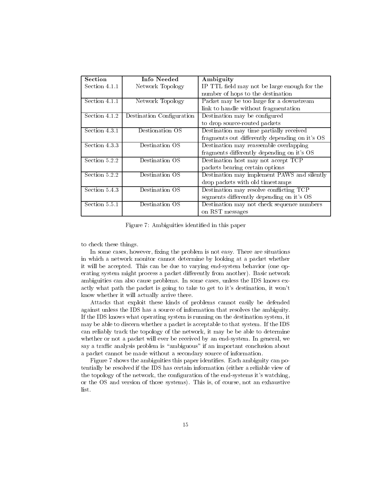| <b>Section</b>             | Info Needed                  | Ambiguity                                      |
|----------------------------|------------------------------|------------------------------------------------|
| Section 4.1.1              | Network Topology             | IP TTL field may not be large enough for the   |
|                            |                              | number of hops to the destination              |
| Section 4.1.1              | Network Topology             | Packet may be too large for a downstream       |
|                            |                              | link to handle without fragmentation           |
| Section 4.1.2              | Destination Configuration    | Destination may be configured                  |
|                            |                              | to drop source-routed packets                  |
| Section 4.3.1              | Destionation $\overline{OS}$ | Destination may time partially received        |
|                            |                              | fragments out differently depending on it's OS |
| Section 4.3.3              | Destination OS               | Destination may reassemble overlapping         |
|                            |                              | fragments differently depending on it's OS     |
| Section $5.2.2$            | Destination OS               | Destination host may not accept TCP            |
|                            |                              | packets bearing certain options                |
| Section 5.2.2              | Destination OS               | Destination may implement PAWS and silently    |
|                            |                              | drop packets with old timestamps               |
| Section $5.\overline{4.3}$ | Destination $\overline{OS}$  | Destination may resolve conflicting TCP        |
|                            |                              | segments differently depending on it's OS      |
| Section 5.5.1              | Destination OS               | Destination may not check sequence numbers     |
|                            |                              | on RST messages                                |

Figure 7: Ambiguities identified in this paper

to check these things.

In some cases, however, fixing the problem is not easy. There are situations in which a network monitor cannot determine by looking at a packet whether it will be accepted. This can be due to varying end-system behavior (one operating system might process a packet differently from another). Basic network ambiguities can also cause problems. In some cases, unless the IDS knows exactly what path the packet is going to take to get to it's destination, it won't know whether it will actually arrive there.

Attacks that exploit these kinds of problems cannot easily be defended against unless the IDS has a source of information that resolves the ambiguity. If the IDS knows what operating system is running on the destination system, it may be able to discern whether a packet is acceptable to that system. If the IDS can reliably track the topology of the network, it may be be able to determine whether or not a packet will ever be received by an end-system. In general, we say a traffic analysis problem is "ambiguous" if an important conclusion about a packet cannot be made without a secondary source of information.

Figure 7 shows the ambiguities this paper identifies. Each ambiguity can potentially be resolved if the IDS has certain information (either a reliable view of the topology of the network, the conguration of the end-systems it's watching, or the OS and version of those systems). This is, of course, not an exhaustive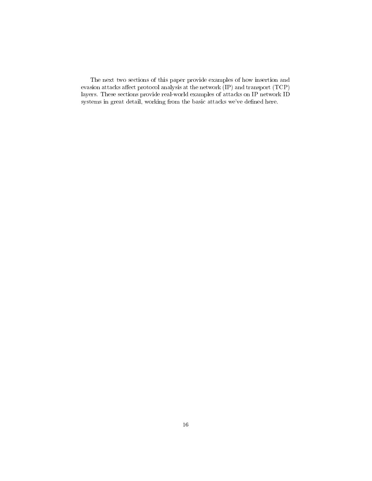The next two sections of this paper provide examples of how insertion and evasion attacks affect protocol analysis at the network  $(IP)$  and transport  $(TCP)$ layers. These sections provide real-world examples of attacks on IP network ID systems in great detail, working from the basic attacks we've defined here.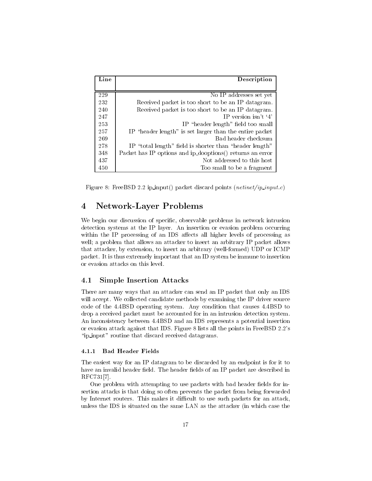| Line | Description                                               |
|------|-----------------------------------------------------------|
|      |                                                           |
| 229  | No IP addresses set yet                                   |
| 232  | Received packet is too short to be an IP datagram.        |
| 240  | Received packet is too short to be an IP datagram.        |
| 247  | IP version isn't '4'                                      |
| 253  | IP "header length" field too small                        |
| 257  | IP "header length" is set larger than the entire packet   |
| 269  | Bad header checksum                                       |
| 278  | IP "total length" field is shorter than "header length"   |
| 348  | Packet has IP options and ip_dooptions() returns an error |
| 437  | Not addressed to this host                                |
| 450  | Too small to be a fragment                                |

Figure 8: FreeBSD 2.2 ip input() packet discard points (netinet/ip\_input.c)

## 4 Network-Layer Problems

We begin our discussion of specific, observable problems in network intrusion detection systems at the IP layer. An insertion or evasion problem occurring within the IP processing of an IDS affects all higher levels of processing as well; a problem that allows an attacker to insert an arbitrary IP packet allows that attacker, by extension, to insert an arbitrary (well-formed) UDP or ICMP packet. It is thus extremely important that an ID system be immune to insertion or evasion attacks on this level.

### 4.1 Simple Insertion Attacks

There are many ways that an attacker can send an IP packet that only an IDS will accept. We collected candidate methods by examining the IP driver source code of the 4.4BSD operating system. Any condition that causes 4.4BSD to drop a received packet must be accounted for in an intrusion detection system. An inconsistency between 4.4BSD and an IDS represents a potential insertion or evasion attack against that IDS. Figure 8 lists all the points in FreeBSD 2.2's "ip\_input" routine that discard received datagrams.

#### 4.1.1 Bad Header Fields

The easiest way for an IP datagram to be discarded by an endpoint is for it to have an invalid header field. The header fields of an IP packet are described in RFC731[7].

One problem with attempting to use packets with bad header fields for insertion attacks is that doing so often prevents the packet from being forwarded by Internet routers. This makes it difficult to use such packets for an attack, unless the IDS is situated on the same LAN as the attacker (in which case the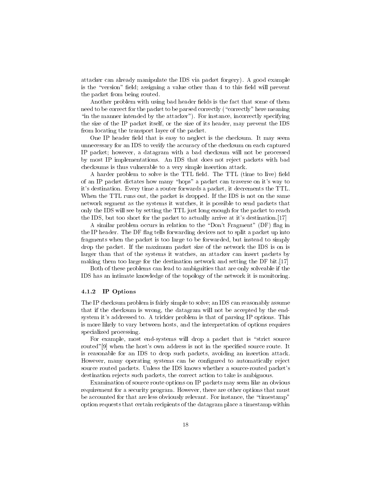attacker can already manipulate the IDS via packet forgery). A good example is the "version" field; assigning a value other than 4 to this field will prevent the packet from being routed.

Another problem with using bad header fields is the fact that some of them need to be correct for the packet to be parsed correctly ("correctly" here meaning "in the manner intended by the attacker"). For instance, incorrectly specifying the size of the IP packet itself, or the size of its header, may prevent the IDS from locating the transport layer of the packet.

One IP header field that is easy to neglect is the checksum. It may seem unnecessary for an IDS to verify the accuracy of the checksum on each captured IP packet; however, a datagram with a bad checksum will not be processed by most IP implementations. An IDS that does not reject packets with bad checksums is thus vulnerable to a very simple insertion attack.

A harder problem to solve is the TTL field. The TTL (time to live) field of an IP packet dictates how many "hops" a packet can traverse on it's way to it's destination. Every time a router forwards a packet, it decrements the TTL. When the TTL runs out, the packet is dropped. If the IDS is not on the same network segment as the systems it watches, it is possible to send packets that only the IDS will see by setting the TTL just long enough for the packet to reach the IDS, but too short for the packet to actually arrive at it's destination.[17]

A similar problem occurs in relation to the "Don't Fragment" (DF) flag in the IP header. The DF 
ag tells forwarding devices not to split a packet up into fragments when the packet is too large to be forwarded, but instead to simply drop the packet. If the maximum packet size of the network the IDS is on is larger than that of the systems it watches, an attacker can insert packets by making them too large for the destination network and setting the DF bit.[17]

Both of these problems can lead to ambiguities that are only solveable if the IDS has an intimate knowledge of the topology of the network it is monitoring.

#### 4.1.2 IP Options

The IP checksum problem is fairly simple to solve; an IDS can reasonably assume that if the checksum is wrong, the datagram will not be accepted by the endsystem it's addressed to. A trickier problem is that of parsing IP options. This is more likely to vary between hosts, and the interpretation of options requires specialized processing.

For example, most end-systems will drop a packet that is "strict source routed" [9] when the host's own address is not in the specified source route. It is reasonable for an IDS to drop such packets, avoiding an insertion attack. However, many operating systems can be congured to automatically reject source routed packets. Unless the IDS knows whether a source-routed packet's destination rejects such packets, the correct action to take is ambiguous.

Examination of source route options on IP packets may seem like an obvious requirement for a security program. However, there are other options that must be accounted for that are less obviously relevant. For instance, the \timestamp" option requests that certain recipients of the datagram place a timestamp within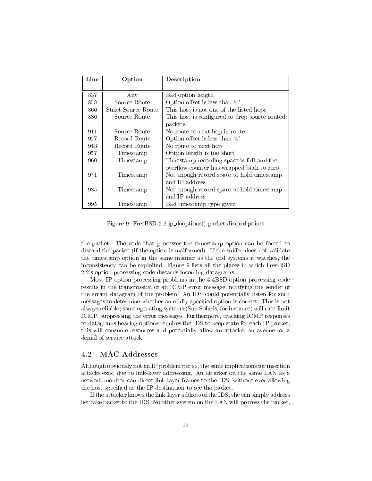| $\overline{\rm Line}$ | Option                     | <b>Description</b>                            |
|-----------------------|----------------------------|-----------------------------------------------|
|                       |                            |                                               |
| 837                   | Any                        | Bad option length                             |
| 858                   | Source Route               | Option offset is less than '4'                |
| 866                   | <b>Strict Source Route</b> | This host is not one of the listed hops       |
| 886                   | Source Route               | This host is configured to drop source routed |
|                       |                            | packets                                       |
| 911                   | Source Route               | No route to next hop in route                 |
| 927                   | Record Route               | Option offset is less than '4'                |
| 943                   | Record Route               | No route to next hop                          |
| 957                   | Timestamp                  | Option length is too short                    |
| 960.                  | Timestamp                  | Timestamp recording space is full and the     |
|                       |                            | overflow counter has wrapped back to zero     |
| 971                   | Timestamp                  | Not enough record space to hold timestamp     |
|                       |                            | and IP address                                |
| 985.                  | Timestamp                  | Not enough record space to hold timestamp     |
|                       |                            | and IP address                                |
| 995                   | Timestamp                  | Bad timestamp type given                      |

Figure 9: FreeBSD 2.2 ip dooptions() packet discard points

the packet. The code that processes the timestamp option can be forced to discard the packet (if the option is malformed). If the sniffer does not validate the timestamp option in the same manner as the end systems it watches, the inconsistency can be exploited. Figure 9 lists all the places in which FreeBSD 2.2's option processing code discards incoming datagrams.

Most IP option processing problems in the 4.4BSD option processing code results in the transmission of an ICMP error message, notifying the sender of the errant datagram of the problem. An IDS could potentially listen for such messages to determine whether an oddly-specied option is correct. This is not always reliable; some operating systems (Sun Solaris, for instance) will rate-limit ICMP, suppressing the error messages. Furthermore, tracking ICMP responses to datagrams bearing options requires the IDS to keep state for each IP packet; this will consume resources and potentially allow an attacker an avenue for a denial of service attack.

### 4.2 MAC Addresses

Although obviously not an IP problem per se, the same implications for insertion attacks exist due to link-layer addressing. An attacker on the same LAN as a network monitor can direct link-layer frames to the IDS, without ever allowing the host specied as the IP destination to see the packet.

If the attacker knows the link-layer address of the IDS, she can simply address her fake packet to the IDS. No other system on the LAN will process the packet,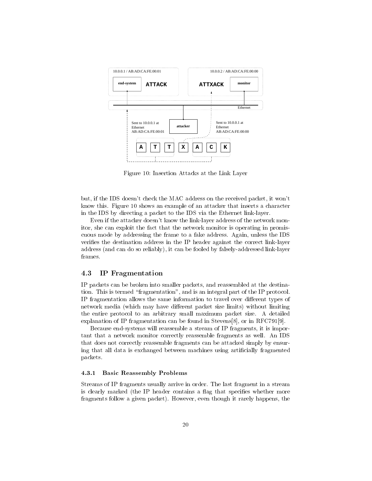

Figure 10: Insertion Attacks at the Link Layer

but, if the IDS doesn't check the MAC address on the received packet, it won't know this. Figure 10 shows an example of an attacker that inserts a character in the IDS by directing a packet to the IDS via the Ethernet link-layer.

Even if the attacker doesn't know the link-layer address of the network monitor, she can exploit the fact that the network monitor is operating in promiscuous mode by addressing the frame to a fake address. Again, unless the IDS veries the destination address in the IP header against the correct link-layer address (and can do so reliably), it can be fooled by falsely-addressed link-layer frames.

#### 4.3 IP Fragmentation

IP packets can be broken into smaller packets, and reassembled at the destination. This is termed \fragmentation", and is an integral part of the IP protocol. IP fragmentation allows the same information to travel over different types of network media (which may have different packet size limits) without limiting the entire protocol to an arbitrary small maximum packetsize. A detailed explanation of IP fragmentation can be found in Stevens[8], or in RFC791[9].

Because end-systems will reassemble a stream of IP fragments, it is important that a network monitor correctly reassemble fragments as well. An IDS that does not correctly reassemble fragments can be attacked simply by ensuring that all data is exchanged between machines using articially fragmented packets.

#### 4.3.1 Basic Reassembly Problems

Streams of IP fragments usually arrive in order. The last fragment in a stream is clearly marked (the IP header contains a flag that specifies whether more fragments follow a given packet). However, even though it rarely happens, the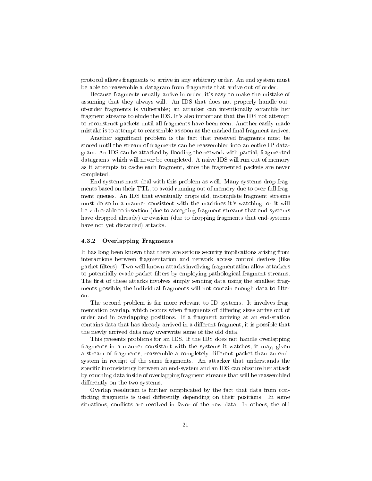protocol allows fragments to arrive in any arbitrary order. An end system must be able to reassemble a datagram from fragments that arrive out of order.

Because fragments usually arrive in order, it's easy to make the mistake of assuming that they always will. An IDS that does not properly handle outof-order fragments is vulnerable; an attacker can intentionally scramble her fragment streams to elude the IDS. It's also important that the IDS not attempt to reconstruct packets until all fragments have been seen. Another easily made mistake is to attempt to reassemble as soon as the marked final fragment arrives.

Another signicant problem is the fact that received fragments must be stored until the stream of fragments can be reassembled into an entire IP datagram. An IDS can be attacked by flooding the network with partial, fragmented datagrams, which will never be completed. A naive IDS will run out of memory as it attempts to cache each fragment, since the fragmented packets are never completed.

End-systems must deal with this problem as well. Many systems drop fragments based on their TTL, to avoid running out of memory due to over-full fragment queues. An IDS that eventually drops old, incomplete fragment streams must do so in a manner consistent with the machines it's watching, or it will be vulnerable to insertion (due to accepting fragment streams that end-systems have dropped already) or evasion (due to dropping fragments that end-systems have not yet discarded) attacks.

#### 4.3.2 Overlapping Fragments

It has long been known that there are serious security implications arising from interactions between fragmentation and network access control devices (like packet filters). Two well-known attacks involving fragmentation allow attackers to potentially evade packet filters by employing pathological fragment streams. The first of these attacks involves simply sending data using the smallest fragments possible; the individual fragments will not contain enough data to filter on.

The second problem is far more relevant to ID systems. It involves fragmentation overlap, which occurs when fragments of differing sizes arrive out of order and in overlapping positions. If a fragment arriving at an end-station contains data that has already arrived in a different fragment, it is possible that the newly arrived data may overwrite some of the old data.

This presents problems for an IDS. If the IDS does not handle overlapping fragments in a manner consistant with the systems it watches, it may, given a stream of fragments, reassemble a completely different packet than an endsystem in receipt of the same fragments. An attacker that understands the specic inconsistency between an end-system and an IDS can obscure her attack by couching data inside of overlapping fragment streams that will be reassembled differently on the two systems.

Overlap resolution is further complicated by the fact that data from con flicting fragments is used differently depending on their positions. In some situations, conflicts are resolved in favor of the new data. In others, the old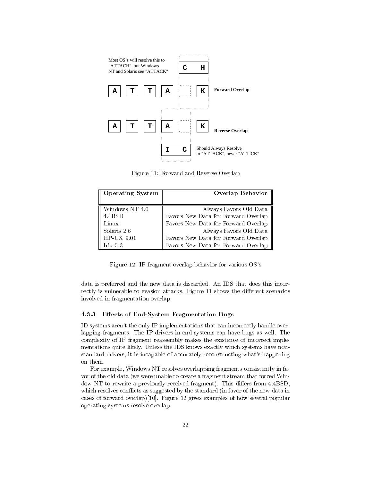

Figure 11: Forward and Reverse Overlap

| <b>Operating System</b> | Overlap Behavior                    |
|-------------------------|-------------------------------------|
|                         |                                     |
| Windows NT 4.0          | Always Favors Old Data              |
| 4.4BSD                  | Favors New Data for Forward Overlap |
| Linux                   | Favors New Data for Forward Overlap |
| Solaris 2.6             | Always Favors Old Data              |
| $HP$ -UX $9.01$         | Favors New Data for Forward Overlap |
| Irix 5.3                | Favors New Data for Forward Overlap |

Figure 12: IP fragment overlap behavior for various OS's

data is preferred and the new data is discarded. An IDS that does this incorrectly is vulnerable to evasion attacks. Figure 11 shows the different scenarios involved in fragmentation overlap.

### 4.3.3 Effects of End-System Fragmentation Bugs

ID systems aren't the only IP implementations that can incorrectly handle overlapping fragments. The IP drivers in end-systems can have bugs as well. The complexity of IP fragment reassembly makes the existence of incorrect implementations quite likely. Unless the IDS knows exactly which systems have nonstandard drivers, it is incapable of accurately reconstructing what's happening on them.

For example, Windows NT resolves overlapping fragments consistently in fa vor of the old data (we were unable to create a fragment stream that forced Window NT to rewrite a previously received fragment). This differs from 4.4BSD, which resolves conflicts as suggested by the standard (in favor of the new data in cases of forward overlap)[10]. Figure 12 gives examples of how several popular operating systems resolve overlap.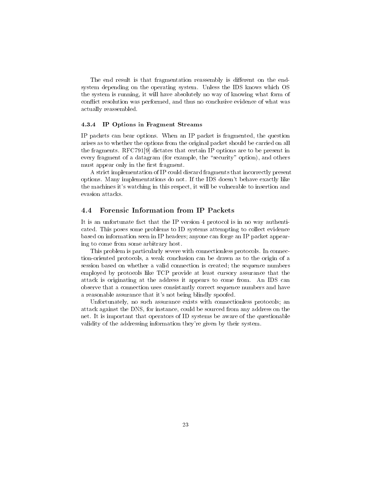The end result is that fragmentation reassembly is different on the endsystem depending on the operating system. Unless the IDS knows which OS the system is running, it will have absolutely no way of knowing what form of con
ict resolution was performed, and thus no conclusive evidence of what was actually reassembled.

#### 4.3.4 IP Options in Fragment Streams

IP packets can bear options. When an IP packet is fragmented, the question arises as to whether the options from the original packet should be carried on all the fragments. RFC791[9] dictates that certain IP options are to be present in every fragment of a datagram (for example, the "security" option), and others must appear only in the first fragment.

A strict implementation of IP could discard fragments that incorrectly present options. Many implementations do not. If the IDS doesn't behave exactly like the machines it's watching in this respect, it will be vulnerable to insertion and evasion attacks.

#### 4.4 Forensic Information from IP Packets  $4.4$

It is an unfortunate fact that the IP version 4 protocol is in no way authenticated. This poses some problems to ID systems attempting to collect evidence based on information seen in IP headers; anyone can forge an IP packet appearing to come from some arbitrary host.

This problem is particularly severe with connectionless protocols. In connection-oriented protocols, a weak conclusion can be drawn as to the origin of a session based on whether a valid connection is created; the sequence numbers employed by protocols like TCP provide at least cursory assurance that the attack is originating at the address it appears to come from. An IDS can observe that a connection uses consistantly correct sequence numbers and have a reasonable assurance that it's not being blindly spoofed.

Unfortunately, no such assurance exists with connectionless protocols; an attack against the DNS, for instance, could be sourced from any address on the net. It is important that operators of ID systems be aware of the questionable validity of the addressing information they're given by their system.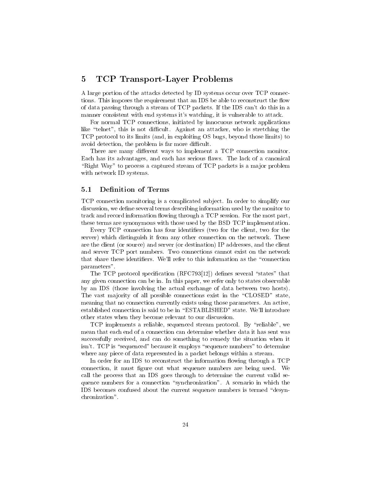## 5 TCP Transport-Layer Problems

A large portion of the attacks detected by ID systems occur over TCP connections. This imposes the requirement that an IDS be able to reconstruct the flow of data passing through a stream of TCP packets. If the IDS can't do this in a manner consistent with end systems it's watching, it is vulnerable to attack.

For normal TCP connections, initiated by innocuous network applications like "telnet", this is not difficult. Against an attacker, who is stretching the TCP protocol to its limits (and, in exploiting OS bugs, beyond those limits) to avoid detection, the problem is far more difficult.

There are many different ways to implement a TCP connection monitor. Each has its advantages, and each has serious flaws. The lack of a canonical "Right Way" to process a captured stream of TCP packets is a major problem with network ID systems.

### 5.1 Definition of Terms

TCP connection monitoring is a complicated sub ject. In order to simplify our discussion, we define several terms describing information used by the monitor to track and record information flowing through a TCP session. For the most part, these terms are synonymous with those used by the BSD TCP implementation.

Every TCP connection has four identiers (two for the client, two for the server) which distinguish it from any other connection on the network. These are the client (or source) and server (or destination) IP addresses, and the client and server TCP port numbers. Two connections cannot exist on the network that share these identifiers. We'll refer to this information as the "connection" parameters".

The TCP protocol specification  $(RFC793[12])$  defines several "states" that any given connection can be in. In this paper, we refer only to states observable by an IDS (those involving the actual exchange of data between two hosts). The vast majority of all possible connections exist in the "CLOSED" state, meaning that no connection currently exists using those parameters. An active, established connection is said to be in \ESTABLISHED" state. We'll introduce other states when they become relevant to our discussion.

TCP implements a reliable, sequenced stream protocol. By "reliable", we mean that each end of a connection can determine whether data it has sent was successfully received, and can do something to remedy the situation when it isn't. TCP is "sequenced" because it employs "sequence numbers" to determine where any piece of data represented in a packet belongs within a stream.

In order for an IDS to reconstruct the information flowing through a TCP connection, it must figure out what sequence numbers are being used. We call the process that an IDS goes through to determine the current valid sequence numbers for a connection "synchronization". A scenario in which the IDS becomes confused about the current sequence numbers is termed "desynchronization".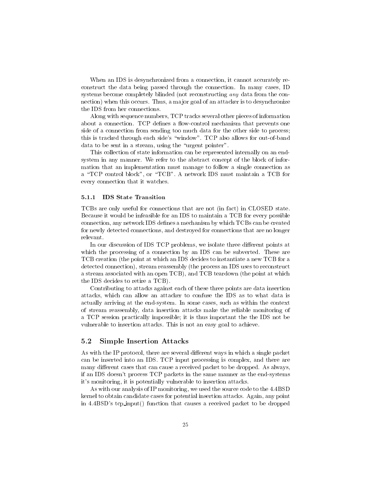When an IDS is desynchronized from a connection, it cannot accurately reconstruct the data being passed through the connection. In many cases, ID systems become completely blinded (not reconstructing *any* data from the connection) when this occurs. Thus, a major goal of an attacker is to desynchronize the IDS from her connections.

Along with sequence numbers, TCP tracks several other pieces of information about a connection. TCP defines a flow-control mechanism that prevents one side of a connection from sending too much data for the other side to process; this is tracked through each side's \window". TCP also allows for out-of-band data to be sent in a stream, using the "urgent pointer".

This collection of state information can be represented internally on an endsystem in any manner. We refer to the abstract concept of the block of information that an implementation must manage to follow a single connection as a "TCP control block", or "TCB". A network IDS must maintain a TCB for every connection that it watches.

#### 5.1.1 IDS State Transition

TCBs are only useful for connections that are not (in fact) in CLOSED state. Because it would be infeasible for an IDS to maintain a TCB for every possible connection, any network IDS defines a mechanism by which TCBs can be created for newly detected connections, and destroyed for connections that are no longer relevant.

In our discussion of IDS TCP problems, we isolate three different points at which the processing of a connection by an IDS can be subverted. These are TCB creation (the point at which an IDS decides to instantiate a new TCB for a detected connection), stream reassembly (the process an IDS uses to reconstruct a stream associated with an open TCB), and TCB teardown (the point at which the IDS decides to retire a TCB).

Contributing to attacks against each of these three points are data insertion attacks, which can allow an attacker to confuse the IDS as to what data is actually arriving at the end-system. In some cases, such as within the context of stream reassembly, data insertion attacks make the reliable monitoring of a TCP session practically impossible; it is thus important the the IDS not be vulnerable to insertion attacks. This is not an easy goal to achieve.

### 5.2 Simple Insertion Attacks

As with the IP protocol, there are several different ways in which a single packet can be inserted into an IDS. TCP input processing is complex, and there are many different cases that can cause a received packet to be dropped. As always, if an IDS doesn't process TCP packets in the same manner as the end-systems it's monitoring, it is potentially vulnerable to insertion attacks.

As with our analysis of IP monitoring, we used the source code to the 4.4BSD kernel to obtain candidate cases for potential insertion attacks. Again, any point in 4.4BSD's tcp input() function that causes a received packet to be dropped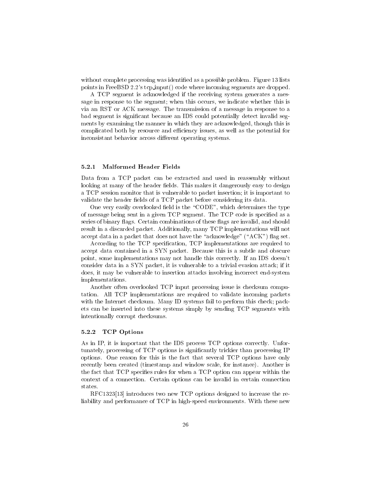without complete processing was identified as a possible problem. Figure 13 lists points in FreeBSD 2.2's tcp input() code where incoming segments are dropped.

A TCP segment is acknowledged if the receiving system generates a message in response to the segment; when this occurs, we indicate whether this is via an RST or ACK message. The transmission of a message in response to a bad segment is signicant because an IDS could potentially detect invalid segments by examining the manner in which they are acknowledged, though this is complicated both by resource and efficiency issues, as well as the potential for inconsistant behavior across different operating systems.

#### 5.2.1 Malformed Header Fields

Data from a TCP packet can be extracted and used in reassembly without looking at many of the header fields. This makes it dangerously easy to design a TCP session monitor that is vulnerable to packet insertion; it is important to validate the header fields of a TCP packet before considering its data.

One very easily overlooked field is the "CODE", which determines the type of message being sent in a given TCP segment. The TCP code is specied as a series of binary flags. Certain combinations of these flags are invalid, and should result in a discarded packet. Additionally, many TCP implementations will not accept data in a packet that does not have the "acknowledge" (" $\mathrm{ACK}$ ") flag set.

According to the TCP specication, TCP implementations are required to accept data contained in a SYN packet. Because this is a subtle and obscure point, some implementations may not handle this correctly. If an IDS doesn't consider data in a SYN packet, it is vulnerable to a trivial evasion attack; if it does, it may be vulnerable to insertion attacks involving incorrect end-system implementations.

Another often overlooked TCP input processing issue is checksum computation. All TCP implementations are required to validate incoming packets with the Internet checksum. Many ID systems fail to perform this check; packets can be inserted into these systems simply by sending TCP segments with intentionally corrupt checksums.

#### 5.2.2 TCP Options

As in IP, it is important that the IDS process TCP options correctly. Unfortunately, processing of TCP options is signicantly trickier than processing IP options. One reason for this is the fact that several TCP options have only recently been created (timestamp and window scale, for instance). Another is the fact that TCP specifies rules for when a TCP option can appear within the context of a connection. Certain options can be invalid in certain connection states.

RFC1323[13] introduces two new TCP options designed to increase the reliability and performance of TCP in high-speed environments. With these new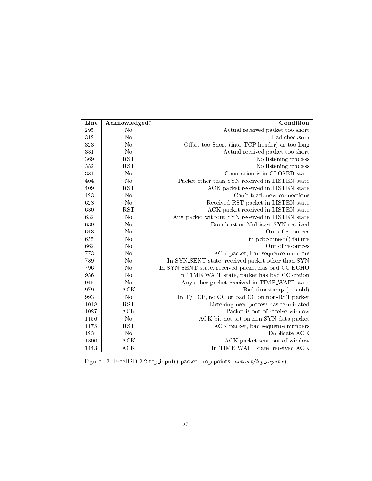| Line | Acknowledged?  | Condition                                          |  |
|------|----------------|----------------------------------------------------|--|
| 295  | No             | Actual received packet too short                   |  |
| 312  | No             | Bad checksum                                       |  |
| 323  | No             | Offset too Short (into TCP header) or too long     |  |
| 331  | No             | Actual received packet too short                   |  |
| 369  | <b>RST</b>     | No listening process                               |  |
| 382  | RST            | No listening process                               |  |
| 384  | No             | Connection is in CLOSED state                      |  |
| 404  | No             | Packet other than SYN received in LISTEN state     |  |
| 409  | <b>RST</b>     | ACK packet received in LISTEN state                |  |
| 423  | No             | Can't track new connections                        |  |
| 628  | No             | Received RST packet in LISTEN state                |  |
| 630  | RST            | ACK packet received in LISTEN state                |  |
| 632  | N <sub>o</sub> | Any packet without SYN received in LISTEN state    |  |
| 639  | No             | Broadcast or Multicast SYN received                |  |
| 643  | No             | Out of resources                                   |  |
| 655  | No             | in_pcbconnect() failure                            |  |
| 662  | No             | Out of resources                                   |  |
| 773  | No             | ACK packet, bad sequence numbers                   |  |
| 789  | No             | In SYN_SENT state, received packet other than SYN  |  |
| 796  | No             | In SYN_SENT state, received packet has bad CC.ECHO |  |
| 936  | N <sub>o</sub> | In TIME_WAIT state, packet has bad CC option       |  |
| 945  | N <sub>o</sub> | Any other packet received in TIME_WAIT state       |  |
| 979  | <b>ACK</b>     | Bad timestamp (too old)                            |  |
| 993  | No             | In T/TCP, no CC or bad CC on non-RST packet        |  |
| 1048 | <b>RST</b>     | Listening user process has terminated              |  |
| 1087 | <b>ACK</b>     | Packet is out of receive window                    |  |
| 1156 | No             | ACK bit not set on non-SYN data packet             |  |
| 1175 | <b>RST</b>     | ACK packet, bad sequence numbers                   |  |
| 1234 | No             | Duplicate ACK                                      |  |
| 1300 | ACK            | ACK packet sent out of window                      |  |
| 1443 | ACK            | In TIME_WAIT state, received ACK                   |  |

Figure 13: FreeBSD 2.2 tcp\_input() packet drop points  $(\mathit{netinet}/\mathit{top\_input}.c)$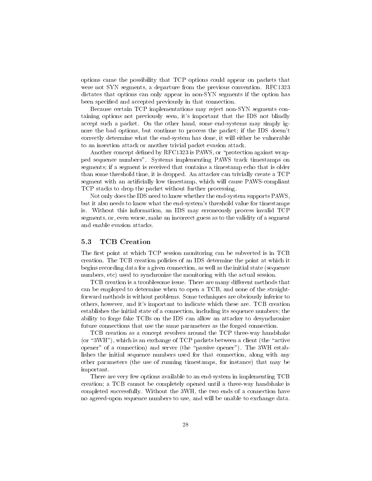options came the possibility that TCP options could appear on packets that were not SYN segments, a departure from the previous convention. RFC1323 dictates that options can only appear in non-SYN segments if the option has been specified and accepted previously in that connection.

Because certain TCP implementations may reject non-SYN segments containing options not previously seen, it's important that the IDS not blindly accept such a packet. On the other hand, some end-systems may simply ignore the bad options, but continue to process the packet; if the IDS doesn't correctly determine what the end-system has done, it will either be vulnerable to an insertion attack or another trivial packet evasion attack.

Another concept defined by RFC1323 is PAWS, or "protection against wrapped sequence numbers". Systems implementing PAWS track timestamps on segments; if a segment is received that contains a timestamp echo that is older than some threshold time, it is dropped. An attacker can trivially create a TCP segment with an articially low timestamp, which will cause PAWS-compliant TCP stacks to drop the packet without further processing.

Not only does the IDS need to know whether the end-system supports PAWS, but it also needs to know what the end-system's threshold value for timestamps is. Without this information, an IDS may erroneously process invalid TCP segments, or, even worse, make an incorrect guess as to the validity of a segment and enable evasion attacks.

The first point at which TCP session monitoring can be subverted is in TCB creation. The TCB creation policies of an IDS determine the point at which it begins recording data for a given connection, as well as the initial state (sequence numbers, etc) used to synchronize the monitoring with the actual session.

TCB creation is a troublesome issue. There are many different methods that can be employed to determine when to open a TCB, and none of the straightforward methods is without problems. Some techniques are obviously inferior to others, however, and it's important to indicate which these are. TCB creation establishes the initial state of a connection, including its sequence numbers; the ability to forge fake TCBs on the IDS can allow an attacker to desynchronize future connections that use the same parameters as the forged connection.

TCB creation as a concept revolves around the TCP three-way handshake (or "3WH"), which is an exchange of TCP packets between a client (the "active opener" of a connection) and server (the \passive opener"). The 3WH establishes the initial sequence numbers used for that connection, along with any other parameters (the use of running timestamps, for instance) that may be important.

There are very few options available to an end-system in implementing TCB creation; a TCB cannot be completely opened until a three-way handshake is completed successfully. Without the 3WH, the two ends of a connection have no agreed-upon sequence numbers to use, and will be unable to exchange data.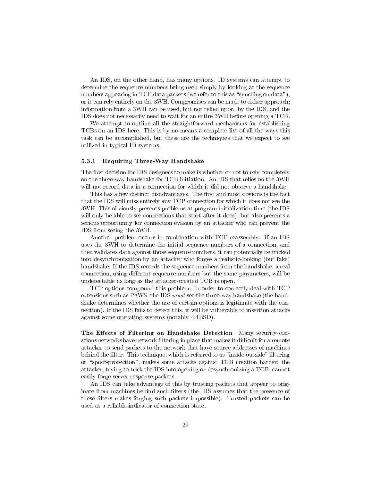An IDS, on the other hand, has many options. ID systems can attempt to determine the sequence numbers being used simply by looking at the sequence numbers appearing in  $TCP$  data packets (we refer to this as "synching on data"), or it can rely entirely on the 3WH. Compromises can be made to either approach; information from a 3WH can be used, but not relied upon, by the IDS, and the IDS does not necessarily need to wait for an entire 3WH before opening a TCB.

We attempt to outline all the straightforward mechanisms for establishing TCBs on an IDS here. This is by no means a complete list of all the ways this task can be accomplished, but these are the techniques that we expect to see utilized in typical ID systems.

#### 5.3.1 Requiring Three-Way Handshake

The first decision for IDS designers to make is whether or not to rely completely on the three-way handshake for TCB initiation. An IDS that relies on the 3WH will not record data in a connection for which it did not observe a handshake.

This has a few distinct disadvantages. The first and most obvious is the fact that the IDS will miss entirely any TCP connection for which it does not see the 3WH. This obviously presents problems at program initialization time (the IDS will only be able to see connections that start after it does), but also presents a serious opportunity for connection evasion by an attacker who can prevent the IDS from seeing the 3WH.

Another problem occurs in combination with TCP reassembly. If an IDS uses the 3WH to determine the initial sequence numbers of a connection, and then validates data against those sequence numbers, it can potentially be tricked into desynchronization by an attacker who forges a realistic-looking (but fake) handshake. If the IDS records the sequence numbers from the handshake, a real connection, using different sequence numbers but the same parameters, will be undetectable as long as the attacker-created TCB is open.

TCP options compound this problem. In order to correctly deal with TCP extensions such as PAWS, the IDS must see the three-way handshake (the handshake determines whether the use of certain options is legitimate with the connection). If the IDS fails to detect this, it will be vulnerable to insertion attacks against some operating systems (notably 4.4BSD).

The Effects of Filtering on Handshake Detection Many security-conscious networks have network filtering in place that makes it difficult for a remote attacker to send packets to the network that have source addresses of machines behind the filter. This technique, which is referred to as "inside-outside" filtering or "spoof-protection", makes some attacks against  $TCB$  creation harder; the attacker, trying to trick the IDS into opening or desynchronizing a TCB, cannot easily forge server response packets.

An IDS can take advantage of this by trusting packets that appear to originate from machines behind such filters (the IDS assumes that the presence of these filters makes forging such packets impossible). Trusted packets can be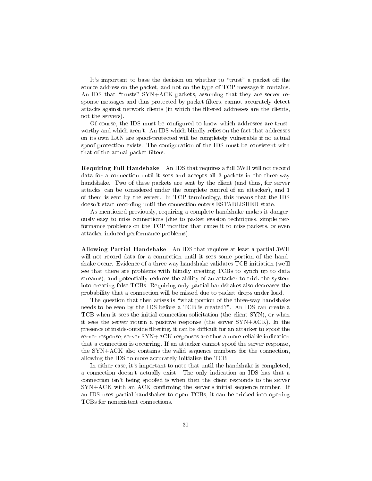It's important to base the decision on whether to "trust" a packet off the source address on the packet, and not on the type of TCP message it contains. An IDS that "trusts" SYN+ACK packets, assuming that they are server response messages and thus protected by packet filters, cannot accurately detect attacks against network clients (in which the ltered addresses are the clients, not the servers).

Of course, the IDS must be configured to know which addresses are trustworthy and which aren't. An IDS which blindly relies on the fact that addresses on its own LAN are spoof-protected will be completely vulnerable if no actual spoof protection exists. The configuration of the IDS must be consistent with that of the actual packet filters.

Requiring Full Handshake An IDS that requires a full 3WH will not record data for a connection until it sees and accepts all 3 packets in the three-way handshake. Two of these packets are sent by the client (and thus, for server attacks, can be considered under the complete control of an attacker), and 1 of them is sentby the server. In TCP terminology, this means that the IDS doesn't start recording until the connection enters ESTABLISHED state.

As mentioned previously, requiring a complete handshake makes it dangerously easy to miss connections (due to packet evasion techniques, simple performance problems on the TCP monitor that cause it to miss packets, or even attacker-induced performance problems).

Allowing Partial Handshake An IDS that requires at least a partial 3WH will not record data for a connection until it sees some portion of the handshake occur. Evidence of a three-way handshake validates TCB initiation (we'll see that there are problems with blindly creating TCBs to synch up to data streams), and potentially reduces the ability of an attacker to trick the system into creating false TCBs. Requiring only partial handshakes also decreases the probability that a connection will be missed due to packet drops under load.

The question that then arises is "what portion of the three-way handshake needs to be seen by the IDS before a TCB is created?". An IDS can create a TCB when it sees the initial connection solicitation (the client SYN), or when it sees the server return a positive response (the server SYN+ACK). In the presence of inside-outside filtering, it can be difficult for an attacker to spoof the server response; server SYN+ACK responses are thus a more reliable indication that a connection is occurring. If an attacker cannot spoof the server response, the SYN+ACK also contains the valid sequence numbers for the connection, allowing the IDS to more accurately initialize the TCB.

In either case, it's important to note that until the handshake is completed, a connection doesn't actually exist. The only indication an IDS has that a connection isn't being spoofed is when then the client responds to the server SYN+ACK with an ACK confirming the server's initial sequence number. If an IDS uses partial handshakes to open TCBs, it can be tricked into opening TCBs for nonexistent connections.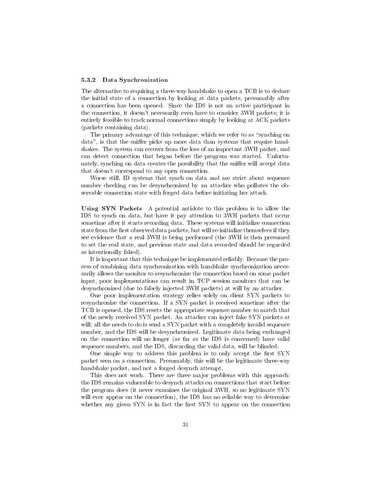#### 5.3.2 Data Synchronization

The alternative to requiring a three-way handshake to open a TCB is to deduce the initial state of a connection by looking at data packets, presumably after a connection has been opened. Since the IDS isnot an active participant in the connection, it doesn't necessarily even have to consider 3WH packets; it is entirely feasible to track normal connections simply by looking at ACK packets (packets containing data).

The primary advantage of this technique, which we refer to as "synching on data", is that the sniffer picks up more data than systems that require handshakes. The system can recover from the loss of an important 3WH packet, and can detect connection that began before the program was started. Unfortunately, synching on data creates the possibility that the sniffer will accept data that doesn't correspond to any open connection.

Worse still, ID systems that synch on data and are strict about sequence number checking can be desynchronized by an attacker who pollutes the observable connection state with forged data before initiating her attack.

Using SYN Packets A potential antidote to this problem is to allow the IDS to synch on data, but have it pay attention to 3WH packets that occur sometime after it starts recording data. These systems will initialize connection state from the first observed data packets, but will re-initialize themselves if they see evidence that a real 3WH is being performed (the 3WH is then presumed to set the real state, and previous state and data recorded should be regarded as intentionally faked).

It is important that this technique be implemented reliably. Because the process of combining data synchronization with handshake synchronization necessarily allows the monitor to resynchronize the connection based on some packet input, poor implementations can result in TCP session monitors that can be desynchronized (due to falsely injected 3WH packets) at will by an attacker.

One poor implementation strategy relies solely on client SYN packets to resynchronize the connection. If a SYN packet is received sometime after the TCB is opened, the IDS resets the appropriate sequence number to match that of the newly received SYN packet. An attacker can inject fake SYN packets at will; all she needs to do is send a SYN packet with a completely invalid sequence number, and the IDS will be desynchronized. Legitimate data being exchanged on the connection willno longer (as far as the IDS isconcerned) have valid sequence numbers, and the IDS, discarding the valid data, will be blinded.

One simple way to address this problem is to only accept the first SYN packet seen on a connection. Presumably, this will be the legitimate three-way handshake packet, and not a forged desynch attempt.

This does not work. There are three major problems with this approach: the IDS remains vulnerable to desynch attacks on connections that start before the program does (it never examines the original 3WH, so no legitimate SYN will ever appear on the connection), the IDS has no reliable way to determine whether any given SYN is in fact the first SYN to appear on the connection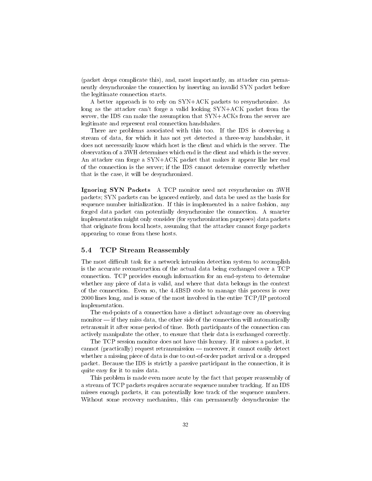(packet drops complicate this), and, most importantly, an attacker can permanently desynchronize the connection by inserting an invalid SYN packet before the legitimate connection starts.

A better approach is to rely on SYN+ACK packets to resynchronize. As long as the attacker can't forge a valid looking SYN+ACK packet from the server, the IDS can make the assumption that SYN+ACKs from the server are legitimate and represent real connection handshakes.

There are problems associated with this too. If the IDS is observing a stream of data, for which it has not yet detected a three-way handshake, it does not necessarily know which host is the client and which is the server. The observation of a 3WH determines which end is the client and which is the server. An attacker can forge a SYN+ACK packet that makes it appear like her end of the connection is the server; if the IDS cannot determine correctly whether that is the case, it will be desynchronized.

Ignoring SYN Packets A TCP monitor need not resynchronize on 3WH packets; SYN packets can be ignored entirely, and data be used as the basis for sequence number initialization. If this is implemented in a naive fashion, any forged data packet can potentially desynchronize the connection. A smarter implementation might only consider (for synchronization purposes) data packets that originate from local hosts, assuming that the attacker cannot forge packets appearing to come from these hosts.

#### $5.4$ TCP Stream Reassembly

The most difficult task for a network intrusion detection system to accomplish is the accurate reconstruction of the actual data being exchanged over a TCP connection. TCP provides enough information for an end-system to determine whether any piece of data is valid, and where that data belongs in the context of the connection. Even so, the 4.4BSD code to manage this process is over 2000 lines long, and is some of the most involved in the entire TCP/IP protocol implementation.

The end-points of a connection have a distinct advantage over an observing  $\text{monitor}$   $\rightarrow$  if they miss data, the other side of the connection will automatically retransmit it after some period of time. Both participants of the connection can actively manipulate the other, to ensure that their data is exchanged correctly.

The TCP session monitor does not have this luxury. If it misses a packet, it cannot (practically) request retransmission — moreover, it cannot easily detect whether a missing piece of data is due to out-of-order packet arrival or a dropped packet. Because the IDS is strictly a passive participant in the connection, it is quite easy for it to miss data.

This problem is made even more acute by the fact that proper reassembly of a stream of TCP packets requires accurate sequence number tracking. If an IDS misses enough packets, it can potentially lose track of the sequence numbers. Without some recovery mechanism, this can permanently desynchronize the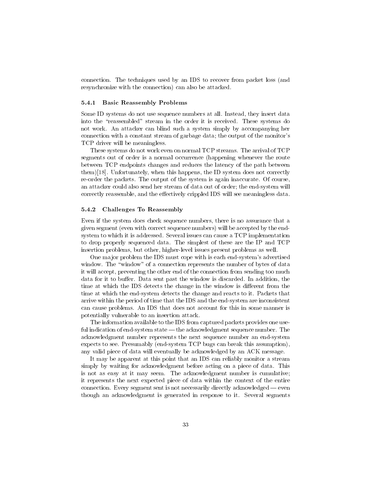connection. The techniques used by an IDS to recover from packet loss (and resynchronize with the connection) can also be attacked.

#### 5.4.1 Basic Reassembly Problems

Some ID systems do not use sequence numbers at all. Instead, they insert data into the "reassembled" stream in the order it is received. These systems do not work. An attacker can blind such a system simply by accompanying her connection with a constant stream of garbage data; the output of the monitor's TCP driver will be meaningless.

These systems do not work even on normal TCP streams. The arrival of TCP segments out of order is a normal occurrence (happening whenever the route between TCP endpoints changes and reduces the latency of the path between them)[18]. Unfortunately, when this happens, the ID system does not correctly re-order the packets. The output of the system is again inaccurate. Of course, an attacker could also send her stream of data out of order; the end-system will correctly reassemble, and the effectively crippled IDS will see meaningless data.

#### 5.4.2 Challenges To Reassembly

Even if the system does check sequence numbers, there is no assurance that a given segment (even with correct sequence numbers) will be accepted by the endsystem to which it is addressed. Several issues can cause a TCP implementation to drop properly sequenced data. The simplest of these are the IP and TCP insertion problems, but other, higher-level issues present problems as well.

One major problem the IDS must cope with is each end-system's advertised window. The "window" of a connection represents the number of bytes of data it will accept, preventing the other end of the connection from sending too much data for it to buffer. Data sent past the window is discarded. In addition, the time at which the IDS detects the change in the window is different from the time at which the end-system detects the change and reacts to it. Packets that arrive within the period of time that the IDS and the end-system are inconsistent can cause problems. An IDS that does not account for this in some manner is potentially vulnerable to an insertion attack.

The information available to the IDS from captured packets provides one useful indication of end-system state  $-\text{the acknowledgment sequence number}$ . The acknowledgment number represents the next sequence number an end-system expects to see. Presumably (end-system TCP bugs can break this assumption), any valid piece of data will eventually be acknowledged by an ACK message.

It may be apparent at this point that an IDS can reliably monitor a stream simply by waiting for acknowledgment before acting on a piece of data. This is not as easy at it may seem. The acknowledgment number is cumulative; it represents the next expected piece of data within the context of the entire connection. Every segment sent is not necessarily directly acknowledged  $-$  even though an acknowledgment is generated in response to it. Several segments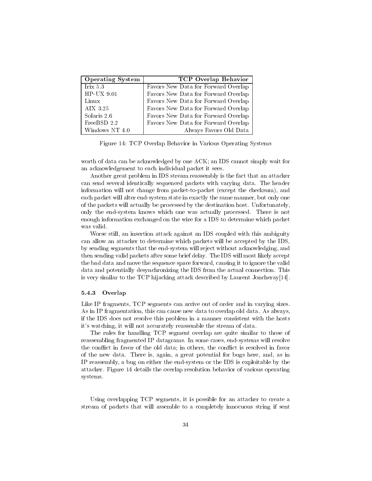| <b>Operating System</b> | TCP Overlap Behavior                |
|-------------------------|-------------------------------------|
| Irix $5.3$              | Favors New Data for Forward Overlap |
| HP-UX 9.01              | Favors New Data for Forward Overlap |
| Linux                   | Favors New Data for Forward Overlap |
| AIX 3.25                | Favors New Data for Forward Overlap |
| Solaris 2.6             | Favors New Data for Forward Overlap |
| FreeBSD 2.2             | Favors New Data for Forward Overlap |
| Windows NT 4.0          | Always Favors Old Data              |

Figure 14: TCP Overlap Behavior in Various Operating Systems

worth of data can be acknowledged by one ACK; an IDS cannot simply wait for an acknowledgement to each individual packet it sees.

Another great problem in IDS stream reassembly is the fact that an attacker can send several identically sequenced packets with varying data. The header information will not change from packet-to-packet (except the checksum), and each packet will alter end-system state in exactly the same manner, but only one of the packets will actually be processed by the destination host. Unfortunately, only the end-system knows which one was actually processed. There is not enough information exchanged on the wire for a IDS to determine which packet was valid.

Worse still, an insertion attack against an IDS coupled with this ambiguity can allow an attacker to determine which packets will be accepted by the IDS, by sending segments that the end-system will reject without acknowledging, and then sending valid packets after some brief delay. The IDS will most likely accept the bad data and move the sequence space forward, causing it to ignore the valid data and potentially desynchronizing the IDS from the actual connection. This is very similar to the TCP hijacking attack described by Laurent Joncheray[14].

#### 5.4.3 Overlap

Like IP fragments, TCP segments can arrive out of order and in varying sizes. As in IP fragmentation, this can cause new data to overlap old data. As always, if the IDS does not resolve this problem in a manner consistent with the hosts it's watching, it will not accurately reassemble the stream of data.

The rules for handling TCP segment overlap are quite similar to those of reassembling fragmented IP datagrams. In some cases, end-systems will resolve the con
ict in favor of the old data; in others, the con
ict is resolved in favor of the new data. There is, again, a great potential for bugs here, and, as in IP reassembly, a bug on either the end-system or the IDS is exploitable by the attacker. Figure 14 details the overlap resolution behavior of various operating systems.

Using overlapping TCP segments, it is possible for an attacker to create a stream of packets that will assemble to a completely innocuous string if sent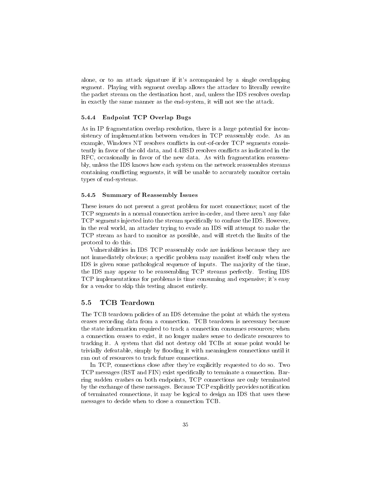alone, or to an attack signature if it's accompanied by a single overlapping segment. Playing with segment overlap allows the attacker to literally rewrite the packet stream on the destination host, and, unless the IDS resolves overlap in exactly the same manner as the end-system, it will not see the attack.

### 5.4.4 Endpoint TCP Overlap Bugs

As in IP fragmentation overlap resolution, there is a large potential for inconsistency of implementation between vendors in TCP reassembly code. As an example, Windows NT resolves conflicts in out-of-order TCP segments consistently in favor of the old data, and 4.4BSD resolves conflicts as indicated in the RFC, occasionally in favor of the new data. As with fragmentation reassembly, unless the IDS knows how each system on the network reassembles streams containing conflicting segments, it will be unable to accurately monitor certain types of end-systems.

#### 5.4.5 Summary of Reassembly Issues

These issues do not present a great problem for most connections; most of the TCP segments in a normal connection arrive in-order, and there aren't any fake TCP segments injected into the stream specifically to confuse the IDS. However, in the real world, an attacker trying to evade an IDS will attempt to make the TCP stream as hard to monitor as possible, and will stretch the limits of the protocol to do this.

Vulnerabilities in IDS TCP reassembly code are insidious because they are not immediately obvious; a specic problem may manifest itself only when the IDS is given some pathological sequence of inputs. The ma jority of the time, the IDS may appear to be reassembling TCP streams perfectly. Testing IDS TCP implementations for problems is time consuming and expensive; it's easy for a vendor to skip this testing almost entirely.

The TCB teardown policies of an IDS determine the point at which the system ceases recording data from a connection. TCB teardown is necessary because the state information required to track a connection consumes resources; when a connection ceases to exist, it no longer makes sense to dedicate resources to tracking it. A system that did not destroy old TCBs at some point would be trivially defeatable, simply by flooding it with meaningless connections until it ran out of resources to track future connections.

In TCP, connections close after they're explicitly requested to do so. Two TCP messages (RST and FIN) exist specically to terminate a connection. Barring sudden crashes on both endpoints, TCP connections are only terminated by the exchange of these messages. Because TCP explicitly provides notification of terminated connections, it may be logical to design an IDS that uses these messages to decide when to close a connection TCB.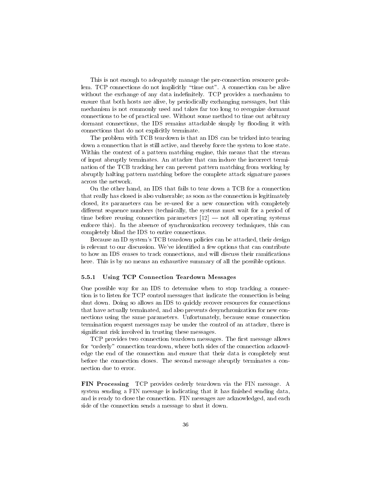This is not enough to adequately manage the per-connection resource problem. TCP connections do not implicitly "time out". A connection can be alive without the exchange of any data indefinitely. TCP provides a mechanism to ensure that both hosts are alive, by periodically exchanging messages, but this mechanism is not commonly used and takes far too long to recognize dormant connections to be of practical use. Without some method to time out arbitrary dormant connections, the IDS remains attackable simply by flooding it with connections that do not explicitly terminate.

The problem with TCB teardown is that an IDS can be tricked into tearing down a connection that is still active, and thereby force the system to lose state. Within the context of a pattern matching engine, this means that the stream of input abruptly terminates. An attacker that can induce the incorrect termination of the TCB tracking her can prevent pattern matching from working by abruptly halting pattern matching before the complete attack signature passes

On the other hand, an IDS that fails to tear down a TCB for a connection that really has closed is also vulnerable; as soon as the connection is legitimately closed, its parameters can be re-used for a new connection with completely different sequence numbers (technically, the systems must wait for a period of time before reusing connection parameters  $[12]$  — not all operating systems enforce this). In the absence of synchronization recovery techniques, this can completely blind the IDS to entire connections.

Because an ID system's TCB teardown policies can be attacked, their design is relevant to our discussion. We've identied a few options that can contribute to how an IDS ceases to track connections, and will discuss their ramications here. This is by no means an exhaustive summary of all the possible options.

#### 5.5.1 Using TCP Connection Teardown Messages

One possible way for an IDS to determine when to stop tracking a connection is to listen for TCP control messages that indicate the connection is being shut down. Doing so allows an IDS to quickly recover resources for connections that have actually terminated, and also prevents desynchronization for new connections using the same parameters. Unfortunately, because some connection termination request messages may be under the control of an attacker, there is signicant risk involved in trusting these messages.

TCP provides two connection teardown messages. The first message allows for "orderly" connection teardown, where both sides of the connection acknowledge the end of the connection and ensure that their data is completely sent before the connection closes. The second message abruptly terminates a connection due to error.

FIN Processing TCP provides orderly teardown via the FIN message. A system sending a FIN message is indicating that it has finished sending data, and is ready to close the connection. FIN messages are acknowledged, and each side of the connection sends a message to shut it down.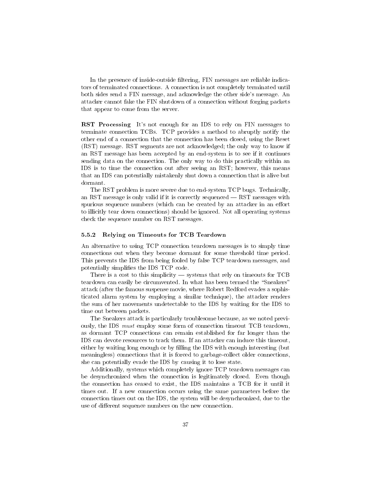In the presence of inside-outside filtering, FIN messages are reliable indicators of terminated connections. A connection is not completely terminated until both sides send a FIN message, and acknowledge the other side's message. An attacker cannot fake the FIN shutdown of a connection without forging packets that appear to come from the server.

RST Processing It's not enough for an IDS to rely on FIN messages to terminate connection TCBs. TCP provides a method to abruptly notify the other end of a connection that the connection has been closed, using the Reset (RST) message. RST segments are not acknowledged; the only way to know if an RST message has been accepted by an end-system is to see ifit continues sending data on the connection. The only way to do this practically within an IDS isto time the connection out after seeing an RST; however, this means that an IDS can potentially mistakenly shut down a connection that is alive but dormant.

The RST problem is more severe due to end-system TCP bugs. Technically, an RST message is only valid if it is correctly sequenced  $-$  RST messages with spurious sequence numbers (which can be created by an attacker in an effort to illicitly tear down connections) should be ignored. Not all operating systems check the sequence number on RST messages.

#### 5.5.2 Relying on Timeouts for TCB Teardown

An alternative to using TCP connection teardown messages is to simply time connections out when they become dormant for some threshold time period. This prevents the IDS from being fooled by false TCP teardown messages, and potentially simplifies the IDS TCP code.

There is a cost to this simplicity  $-$  systems that rely on timeouts for TCB teardown can easily be circumvented. In what has been termed the "Sneakers" attack (after the famous suspense movie, where Robert Redford evades a sophisticated alarm system by employing a similar technique), the attacker renders the sum of her movements undetectable to the IDS by waiting for the IDS to time out between packets.

The Sneakers attack is particularly troublesome because, as we noted previously, the IDS *must* employ some form of connection timeout TCB teardown, as dormant TCP connections can remain established for far longer than the IDS can devote resources to track them. If an attacker can induce this timeout, either by waiting long enough or by lling the IDS with enough interesting (but meaningless) connections that it is forced to garbage-collect older connections, she can potentially evade the IDS by causing it to lose state.

Additionally, systems which completely ignore TCP teardown messages can be desynchronized when the connection is legitimately closed. Even though the connection has ceased to exist, the IDS maintains a TCB for it until it times out. If a new connection occurs using the same parameters before the connection times out on the IDS, the system will be desynchronized, due to the use of different sequence numbers on the new connection.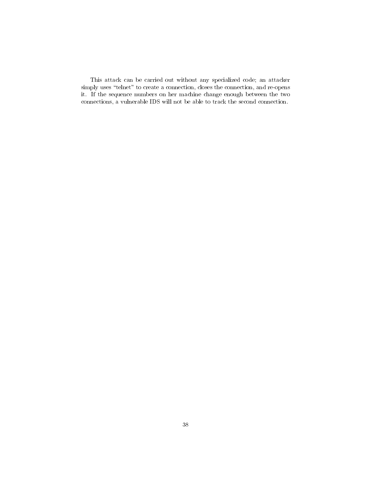This attack can be carried out without any specialized code; an attacker simply uses "telnet" to create a connection, closes the connection, and re-opens it. If the sequence numbers on her machine change enough between the two connections, a vulnerable IDS will not be able to track the second connection.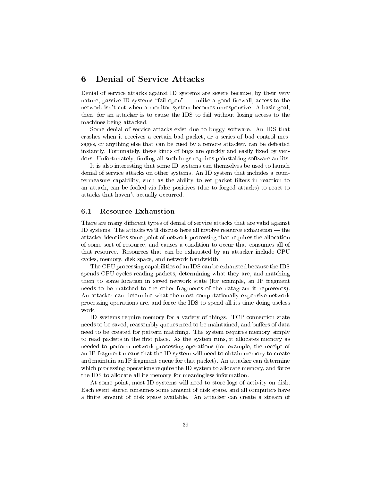## 6 Denial of Service Attacks

Denial of service attacks against ID systems are severe because, by their very nature, passive ID systems "fail open"  $-$  unlike a good firewall, access to the network isn't cut when a monitor system becomes unresponsive. A basic goal, then, for an attacker is to cause the IDS to fail without losing access to the machines being attacked.

Some denial of service attacks exist due to buggy software. An IDS that crashes when it receives a certain bad packet, or a series of bad control messages, or anything else that can be cued by a remote attacker, can be defeated instantly. Fortunately, these kinds of bugs are quickly and easily fixed by vendors. Unfortunately, finding all such bugs requires painstaking software audits.

It is also interesting that some ID systems can themselves be used to launch denial of service attacks on other systems. An ID system that includes a countermeasure capability, such as the ability to set packet lters in reaction to an attack, can be fooled via false positives (due to forged attacks) to react to attacks that haven't actually occurred.

#### $6.1$ **Resource Exhaustion**

There are many different types of denial of service attacks that are valid against ID systems. The attacks we'll discuss here all involve resource exhaustion  $-\text{the}$ attacker identies some point of network processing that requires the allocation of some sort of resource, and causes a condition to occur that consumes all of that resource. Resources that can be exhausted by an attacker include CPU cycles, memory, disk space, and network bandwidth.

The CPU processing capabilities of an IDS can be exhausted because the IDS spends CPU cycles reading packets, determining what they are, and matching them to some location in saved network state (for example, an IP fragment needs to be matched to the other fragments of the datagram it represents). An attacker can determine what the most computationally expensive network processing operations are, and force the IDS to spend all its time doing useless work.

ID systems require memory for a variety of things. TCP connection state needs to be saved, reassembly queues need to be maintained, and buffers of data need to be created for pattern matching. The system requires memory simply to read packets in the first place. As the system runs, it allocates memory as needed to perform network processing operations (for example, the receipt of an IP fragment means that the ID system will need to obtain memory to create and maintain an IP fragment queue for that packet). An attacker can determine which processing operations require the ID system to allocate memory, and force the IDS to allocate all its memory for meaningless information.

At some point, most ID systems will need to store logs of activity on disk. Each event stored consumes some amount of disk space, and all computers have a finite amount of disk space available. An attacker can create a stream of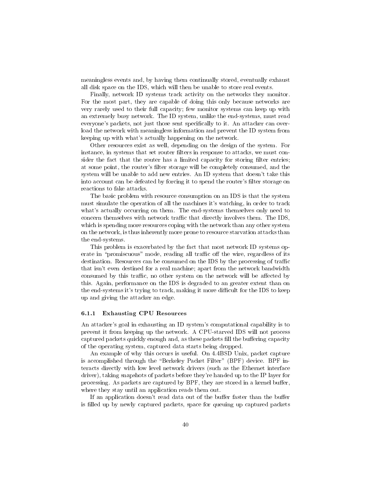meaningless events and, by having them continually stored, eventually exhaust all disk space on the IDS, which will then be unable to store real events.

Finally, network ID systems track activity on the networks they monitor. For the most part, they are capable of doing this only because networks are very rarely used to their full capacity; few monitor systems can keep up with an extremely busy network. The ID system, unlike the end-systems, must read everyone's packets, not just those sent specifically to it. An attacker can overload the network with meaningless information and prevent the ID system from keeping up with what's actually happening on the network.

Other resources exist as well, depending on the design of the system. For instance, in systems that set router filters in response to attacks, we must consider the fact that the router has a limited capacity for storing filter entries; at some point, the router's filter storage will be completely consumed, and the system will be unable to add new entries. An ID system that doesn't take this into account can be defeated by forcing it to spend the router's filter storage on reactions to fake attacks.

The basic problem with resource consumption on an IDS is that the system must simulate the operation of all the machines it's watching, in order to track what's actually occurring on them. The end-systems themselves only need to concern themselves with network traffic that directly involves them. The IDS, which is spending more resources coping with the network than any other system on the network, is thus inherently more prone to resource starvation attacks than the end-systems.

This problem is exacerbated by the fact that most network ID systems operate in "promiscuous" mode, reading all traffic off the wire, regardless of its destination. Resources can be consumed on the IDS by the processing of traffic that isn't even destined for a real machine; apart from the network bandwidth consumed by this traffic, no other system on the network will be affected by this. Again, performance on the IDS is degraded to an greater extent than on the end-systems it's trying to track, making it more difficult for the IDS to keep up and giving the attacker an edge.

### 6.1.1 Exhausting CPU Resources

An attacker's goal in exhausting an ID system's computational capability is to prevent it from keeping up the network. A CPU-starved IDS will not process captured packets quickly enough and, as these packets fill the buffering capacity of the operating system, captured data starts being dropped.

An example of why this occurs is useful. On 4.4BSD Unix, packet capture is accomplished through the "Berkeley Packet Filter" (BPF) device. BPF interacts directly with low level network drivers (such as the Ethernet interface driver), taking snapshots of packets before they're handed up to the IP layer for processing. As packets are captured by BPF, they are stored in a kernel buffer, where they stay until an application reads them out.

If an application doesn't read data out of the buffer faster than the buffer is filled up by newly captured packets, space for queuing up captured packets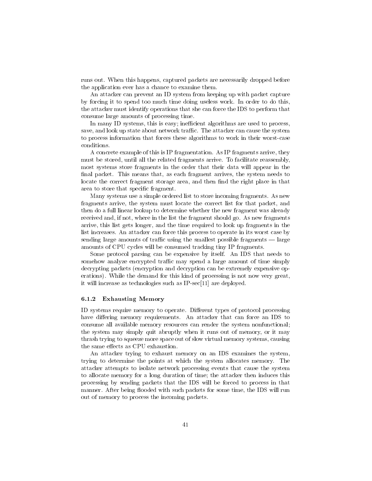runs out. When this happens, captured packets are necessarily dropped before the application ever has a chance to examine them.

An attacker can prevent an ID system from keeping up with packet capture by forcing it to spend too much time doing useless work. In order to do this, the attacker must identify operations that she can force the IDS to perform that consume large amounts of processing time.

In many ID systems, this is easy; inefficient algorithms are used to process, save, and look up state about network traffic. The attacker can cause the system to process information that forces these algorithms to work in their worst-case conditions.

A concrete example of this is IP fragmentation. As IP fragments arrive, they must be stored, until all the related fragments arrive. To facilitate reassembly, most systems store fragments in the order that their data will appear in the final packet. This means that, as each fragment arrives, the system needs to locate the correct fragment storage area, and then find the right place in that area to store that specic fragment.

Many systems use a simple ordered list to store incoming fragments. As new fragments arrive, the system must locate the correct list for that packet, and then do a full linear lookup to determine whether the new fragment was already received and, if not, where in the list the fragment should go. As new fragments arrive, this list gets longer, and the time required to look up fragments in the list increases. An attacker can force this process to operate in its worst case by sending large amounts of traffic using the smallest possible fragments  $-$  large amounts of CPU cycles will be consumed tracking tiny IP fragments.

Some protocol parsing can be expensive by itself. An IDS that needs to somehow analyze encrypted traffic may spend a large amount of time simply decrypting packets (encryption and decryption can be extremely expensive operations). While the demand for this kind of processing is not now very great, it will increase as technologies such as IP-sec[11] are deployed.

#### 6.1.2 Exhausting Memory

ID systems require memory to operate. Different types of protocol processing have differing memory requirements. An attacker that can force an IDS to consume all available memory resources can render the system nonfunctional; the system maysimply quit abruptly when it runs out of memory, or it may thrash trying to squeeze more space out of slow virtual memory systems, causing the same effects as CPU exhaustion.

An attacker trying to exhaust memory on an IDS examines the system, trying to determine the points at which the system allocates memory. The attacker attempts to isolate network processing events that cause the system to allocate memory for a long duration of time; the attacker then induces this processing by sending packets that the IDS will be forced to process in that manner. After being flooded with such packets for some time, the IDS will run out of memory to process the incoming packets.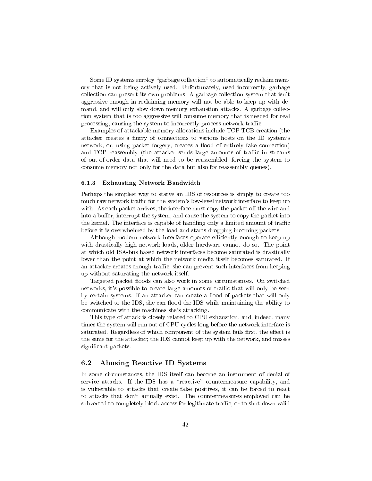Some ID systems employ "garbage collection" to automatically reclaim memory that is not being actively used. Unfortunately, used incorrectly, garbage collection can present its own problems. A garbage collection system that isn't aggressive enough in reclaiming memory will not be able to keep up with demand, and will only slow down memory exhaustion attacks. A garbage collection system that is too aggressive will consume memory that is needed for real processing, causing the system to incorrectly process network traffic.

Examples of attackable memory allocations include TCP TCB creation (the attacker creates a urry of connections to various hosts on the ID system's network, or, using packet forgery, creates a flood of entirely fake connection) and TCP reassembly (the attacker sends large amounts of traffic in streams of out-of-order data that will need to be reassembled, forcing the system to consume memory not only for the data but also for reassembly queues).

#### 6.1.3 Exhausting Network Bandwidth

Perhaps the simplest way to starve an IDS of resources is simply to create too much raw network traffic for the system's low-level network interface to keep up with. As each packet arrives, the interface must copy the packet off the wire and into a buffer, interrupt the system, and cause the system to copy the packet into the kernel. The interface is capable of handling only a limited amount of traffic before it is overwhelmed by the load and starts dropping incoming packets.

Although modern network interfaces operate efficiently enough to keep up with drastically high network loads, older hardware cannot do so. The point at which old ISA-bus based network interfaces become saturated is drastically lower than the point at which the network media itself becomes saturated. If an attacker creates enough traffic, she can prevent such interfaces from keeping up without saturating the network itself.

Targeted packet floods can also work in some circumstances. On switched networks, it's possible to create large amounts of traffic that will only be seen by certain systems. If an attacker can create a flood of packets that will only be switched to the IDS, she can flood the IDS while maintaining the ability to communicate with the machines she's attacking.

This type of attack is closely related to CPU exhaustion, and, indeed, many times the system will run out of CPU cycles long before the network interface is saturated. Regardless of which component of the system fails first, the effect is the same for the attacker; the IDS cannot keep up with the network, and misses signicant packets.

#### 6.2 Abusing Reactive ID Systems

In some circumstances, the IDS itself can become an instrument of denial of service attacks. If the IDS has a \reactive" countermeasure capability, and is vulnerable to attacks that create false positives, it can be forced to react to attacks that don't actually exist. The countermeasures employed can be subverted to completely block access for legitimate traffic, or to shut down valid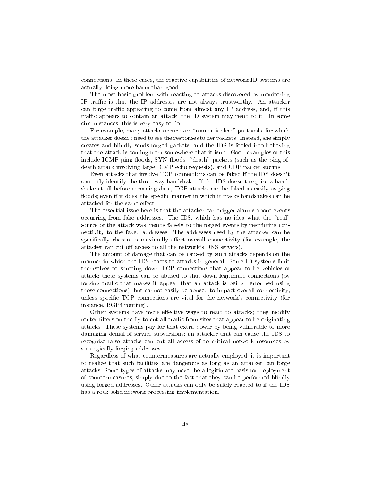connections. In these cases, the reactive capabilities of network ID systems are actually doing more harm than good.

The most basic problem with reacting to attacks discovered by monitoring IP traffic is that the IP addresses are not always trustworthy. An attacker can forge traffic appearing to come from almost any IP address, and, if this traffic appears to contain an attack, the ID system may react to it. In some circumstances, this is very easy to do.

For example, many attacks occur over "connectionless" protocols, for which the attacker doesn't need to see the responses to her packets. Instead, she simply creates and blindly sends forged packets, and the IDS is fooled into believing that the attack is coming from somewhere that it isn't. Good examples of this include ICMP ping floods, SYN floods, "death" packets (such as the ping-ofdeath attack involving large ICMP echo requests), and UDP packet storms.

Even attacks that involve TCP connections can be faked if the IDS doesn't correctly identify the three-way handshake. If the IDS doesn't require a handshake at all before recording data, TCP attacks can be faked as easily as ping floods; even if it does, the specific manner in which it tracks handshakes can be attacked for the same effect.

The essential issue here is that the attacker can trigger alarms about events occurring from fake addresses. The IDS, which has no idea what the "real" source of the attack was, reacts falsely to the forged events by restricting connectivity to the faked addresses. The addresses used by the attacker can be specifically chosen to maximally affect overall connectivity (for example, the attacker can cut off access to all the network's DNS servers).

The amount of damage that can be caused by such attacks depends on the manner in which the IDS reacts to attacks in general. Some ID systems limit themselves to shutting down TCP connections that appear to be vehicles of attack; these systems can be abused to shut down legitimate connections (by forging traffic that makes it appear that an attack is being performed using those connections), but cannot easily be abused to impact overall connectivity, unless specific TCP connections are vital for the network's connectivity (for instance, BGP4 routing).

Other systems have more effective ways to react to attacks; they modify router filters on the fly to cut all traffic from sites that appear to be originating attacks. These systems pay for that extra power by being vulnerable to more damaging denial-of-service subversions; an attacker that can cause the IDS to recognize false attacks can cut all access of to critical network resources by strategically forging addresses.

Regardless of what countermeasures are actually employed, it is important to realize that such facilities are dangerous as long as an attacker can forge attacks. Some types of attacks may never be a legitimate basis for deployment of countermeasures, simply due to the fact that they can be performed blindly using forged addresses. Other attacks can only be safely reacted to if the IDS has a rock-solid network processing implementation.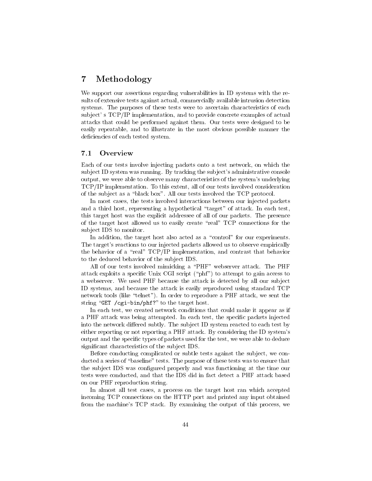## 7 Methodology

We support our assertions regarding vulnerabilities in ID systems with the results of extensive tests against actual, commercially available intrusion detection systems. The purposes of these tests were to ascertain characteristics of each sub ject' s TCP/IP implementation, and to provide concrete examples of actual attacks that could be performed against them. Our tests were designed to be easily repeatable, and to illustrate in the most obvious possible manner the deficiencies of each tested system.

### 7.1 Overview

Each of our tests involve injecting packets onto a test network, on which the sub ject ID system was running. By tracking the sub ject's administrative console output, we were able to observe many characteristics of the system's underlying TCP/IP implementation. To this extent, all of our tests involved consideration of the subject as a "black box". All our tests involved the TCP protocol.

In most cases, the tests involved interactions between our injected packets and a third host, representing a hypothetical "target" of attack. In each test, this target host was the explicit addressee of all of our packets. The presence of the target host allowed us to easily create \real" TCP connections for the subject IDS to monitor.

In addition, the target host also acted as a "control" for our experiments. The target's reactions to our injected packets allowed us to observe empirically the behavior of a "real"  $\text{TCP/IP}$  implementation, and contrast that behavior to the deduced behavior of the sub ject IDS.

All of our tests involved mimicking a "PHF" webserver attack. The PHF attack exploits a specic Unix CGI script (\phf") to attempt to gain access to a webserver. We used PHF because the attack is detected by all our subject ID systems, and because the attack is easily reproduced using standard TCP network tools (like "telnet"). In order to reproduce a PHF attack, we sent the string "GET /cgi-bin/phf?" to the target host.

In each test, we created network conditions that could make it appear as if a PHF attack was being attempted. In each test, the specific packets injected into the network differed subtly. The subject ID system reacted to each test by either reporting or not reporting a PHF attack. By considering the ID system's output and the specic types of packets used for the test, we were able to deduce significant characteristics of the subject IDS.

Before conducting complicated or subtle tests against the sub ject, we conducted a series of "baseline" tests. The purpose of these tests was to ensure that the subject IDS was configured properly and was functioning at the time our tests were conducted, and that the IDS did in fact detect a PHF attack based on our PHF reproduction string.

In almost all test cases, a process on the target host ran which accepted incoming TCP connections on the HTTP port and printed any input obtained from the machine's TCP stack. By examining the output of this process, we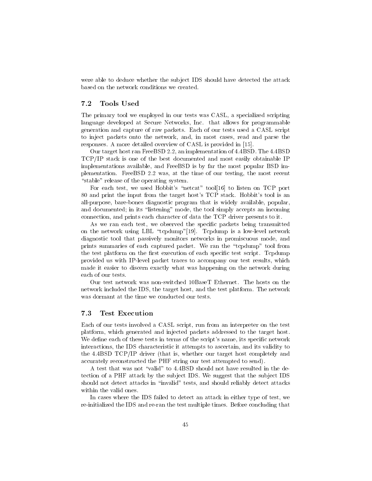were able to deduce whether the sub ject IDS should have detected the attack based on the network conditions we created.

## 7.2 Tools Used

The primary tool we employed in our tests was CASL, a specialized scripting language developed at Secure Networks, Inc. that allows for programmable generation and capture of raw packets. Each of our tests used a CASL script to inject packets onto the network, and, in most cases, read and parse the responses. A more detailed overview of CASL is provided in [15].

Our target host ran FreeBSD 2.2, an implementation of 4.4BSD. The 4.4BSD TCP/IP stack is one of the best documented and most easily obtainable IP implementations available, and FreeBSD is by far the most popular BSD implementation. FreeBSD 2.2 was, at the time of our testing, the most recent "stable" release of the operating system.

For each test, we used Hobbit's "netcat" tool[16] to listen on TCP port 80 and print the input from the target host's TCP stack. Hobbit's tool is an all-purpose, bare-bones diagnostic program that is widely available, popular, and documented; in its "listening" mode, the tool simply accepts an incoming connection, and prints each character of data the TCP driver presents to it.

As we ran each test, we observed the specific packets being transmitted on the network using LBL "tcpdump"[19]. Tcpdump is a low-level network diagnostic tool that passively monitors networks in promiscuous mode, and prints summaries of each captured packet. We ran the \tcpdump" tool from the test platform on the first execution of each specific test script. Tcpdump provided us with IP-level packet traces to accompany our test results, which made it easier to discern exactly what was happening on the network during each of our tests.

Our test network was non-switched 10BaseT Ethernet. The hosts on the network included the IDS, the target host, and the test platform. The network was dormant at the time we conducted our tests.

#### $7.3$ Test Execution

Each of our tests involved a CASL script, run from an interpreter on the test platform, which generated and injected packets addressed to the target host. We define each of these tests in terms of the script's name, its specific network interactions, the IDS characteristic it attempts to ascertain, and its validity to the 4.4BSD TCP/IP driver (that is, whether our target host completely and accurately reconstructed the PHF string our test attempted to send).

A test that was not \valid" to 4.4BSD should not have resulted in the detection of a PHF attack by the sub ject IDS. We suggest that the sub ject IDS should not detect attacks in \invalid" tests, and should reliably detect attacks within the valid ones.

In cases where the IDS failed to detect an attack in either type of test, we re-initialized the IDS and re-ran the test multiple times. Before concluding that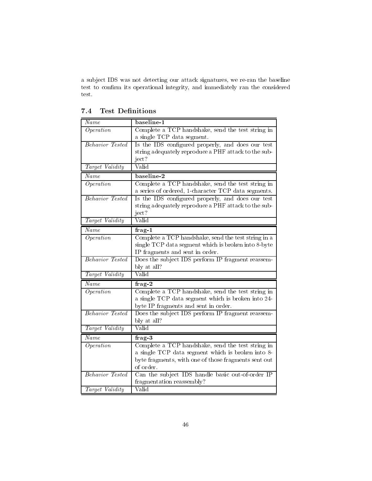a sub ject IDS was not detecting our attack signatures, we re-ran the baseline test to confirm its operational integrity, and immediately ran the considered test.

| Name                   | baseline-1                                           |
|------------------------|------------------------------------------------------|
| Operation              | Complete a TCP handshake, send the test string in    |
|                        | a single TCP data segment.                           |
| <b>Behavior</b> Tested | Is the IDS configured properly, and does our test    |
|                        | string adequately reproduce a PHF attack to the sub- |
|                        | ject?                                                |
| Target Validity        | Valid                                                |
| Name                   | baseline-2                                           |
| Operation              | Complete a TCP handshake, send the test string in    |
|                        | a series of ordered, 1-character TCP data segments.  |
| <b>Behavior</b> Tested | Is the IDS configured properly, and does our test    |
|                        | string adequately reproduce a PHF attack to the sub- |
|                        | ject?                                                |
| <b>Target Validity</b> | Valid                                                |
| Name                   | frag-1                                               |
| Operation              | Complete a TCP handshake, send the test string in a  |
|                        | single TCP data segment which is broken into 8-byte  |
|                        | IP fragments and sent in order.                      |
| <b>Behavior</b> Tested | Does the subject IDS perform IP fragment reassem-    |
|                        | bly at all?                                          |
| Target Validity        | Valid                                                |
| Name                   | $frag-2$                                             |
| Operation              | Complete a TCP handshake, send the test string in    |
|                        | a single TCP data segment which is broken into 24-   |
|                        | byte IP fragments and sent in order.                 |
| <b>Behavior</b> Tested | Does the subject IDS perform IP fragment reassem-    |
|                        | bly at all?                                          |
| <b>Target Validity</b> | Valid                                                |
| <b>Name</b>            | $frag-3$                                             |
| Operation              | Complete a TCP handshake, send the test string in    |
|                        | a single TCP data segment which is broken into 8-    |
|                        | byte fragments, with one of those fragments sent out |
|                        | of order.                                            |
| <b>Behavior</b> Tested | Can the subject IDS handle basic out-of-order IP     |
|                        | fragmentation reassembly?                            |
| Target Validity        | Valid                                                |

7.4 Test Definitions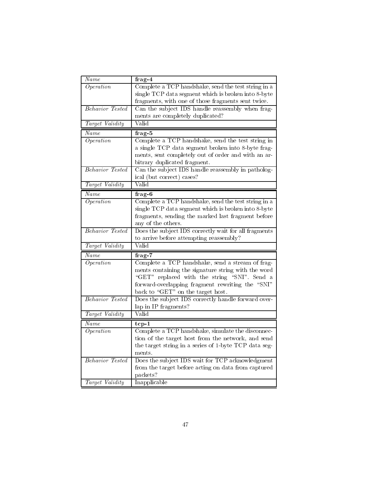| Name                   | $frag-4$                                              |
|------------------------|-------------------------------------------------------|
| Operation              | Complete a TCP handshake, send the test string in a   |
|                        | single TCP data segment which is broken into 8-byte   |
|                        | fragments, with one of those fragments sent twice.    |
| <b>Behavior</b> Tested | Can the subject IDS handle reassembly when frag-      |
|                        | ments are completely duplicated?                      |
| Target Validity        | Valid                                                 |
| Name                   | $frag-5$                                              |
| $\overline{Operation}$ | Complete a TCP handshake, send the test string in     |
|                        | a single TCP data segment broken into 8-byte frag-    |
|                        | ments, sent completely out of order and with an ar-   |
|                        | bitrary duplicated fragment.                          |
| <b>Behavior</b> Tested | Can the subject IDS handle reassembly in patholog-    |
|                        | ical (but correct) cases?                             |
| Target Validity        | Valid                                                 |
| Name                   | $frag-6$                                              |
| Operation              | Complete a TCP handshake, send the test string in a   |
|                        | single TCP data segment which is broken into 8-byte   |
|                        | fragments, sending the marked last fragment before    |
|                        | any of the others.                                    |
| <b>Behavior</b> Tested | Does the subject IDS correctly wait for all fragments |
|                        | to arrive before attempting reassembly?               |
| Target Validity        | Valid                                                 |
| Name                   | $frag-7$                                              |
| Operation              | Complete a TCP handshake, send a stream of frag-      |
|                        | ments containing the signature string with the word   |
|                        | "GET" replaced with the string "SNI". Send a          |
|                        | forward-overlapping fragment rewriting the "SNI"      |
|                        | back to "GET" on the target host.                     |
| <b>Behavior</b> Tested | Does the subject IDS correctly handle forward over-   |
|                        | lap in IP fragments?                                  |
| Target Validity        | Valid                                                 |
| Name                   | $\text{tcp-1}$                                        |
| Operation              | Complete a TCP handshake, simulate the disconnec-     |
|                        | tion of the target host from the network, and send    |
|                        | the target string in a series of 1-byte TCP data seg- |
|                        | ments.                                                |
| <b>Behavior</b> Tested | Does the subject IDS wait for TCP acknowledgment      |
|                        | from the target before acting on data from captured   |
|                        |                                                       |
| Target Validity        | packets?<br>Inapplicable                              |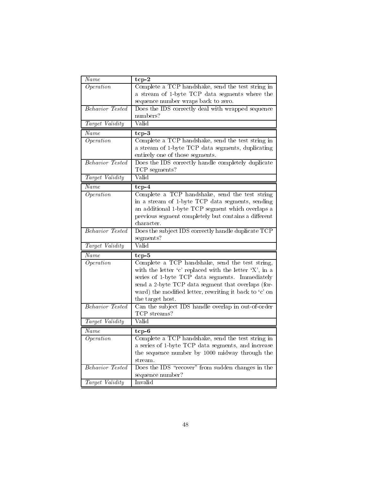| <b>Name</b>            | $tcp-2$                                                |
|------------------------|--------------------------------------------------------|
| Operation              | Complete a TCP handshake, send the test string in      |
|                        | a stream of 1-byte TCP data segments where the         |
|                        | sequence number wraps back to zero.                    |
| <b>Behavior</b> Tested | Does the IDS correctly deal with wrapped sequence      |
|                        | numbers?                                               |
| Target Validity        | Valid                                                  |
| Name                   | $tcp-3$                                                |
| $\overline{Operation}$ | Complete a TCP handshake, send the test string in      |
|                        | a stream of 1-byte TCP data segments, duplicating      |
|                        | entirely one of those segments.                        |
| <b>Behavior</b> Tested | Does the IDS correctly handle completely duplicate     |
|                        | TCP segments?                                          |
| Target Validity        | Valid                                                  |
| Name                   | $top-4$                                                |
| $\overline{Operation}$ | Complete a TCP handshake, send the test string         |
|                        | in a stream of 1-byte TCP data segments, sending       |
|                        | an additional 1-byte TCP segment which overlaps a      |
|                        | previous segment completely but contains a different   |
|                        | character.                                             |
| <b>Behavior</b> Tested | Does the subject IDS correctly handle duplicate TCP    |
|                        | segments?                                              |
| Target Validity        | Valid                                                  |
| Name                   | $tcp-5$                                                |
| Operation              | Complete a TCP handshake, send the test string,        |
|                        | with the letter 'c' replaced with the letter 'X', in a |
|                        | series of 1-byte TCP data segments. Immediately        |
|                        | send a 2-byte TCP data segment that overlaps (for-     |
|                        | ward) the modified letter, rewriting it back to 'c' on |
|                        | the target host.                                       |
| <b>Behavior</b> Tested | Can the subject IDS handle overlap in out-of-order     |
|                        | TCP streams?                                           |
| Target Validity        | Valid                                                  |
|                        |                                                        |
| Name                   |                                                        |
|                        | $tcp-6$                                                |
| Operation              | Complete a TCP handshake, send the test string in      |
|                        | a series of 1-byte TCP data segments, and increase     |
|                        | the sequence number by 1000 midway through the         |
|                        | stream.                                                |
| <b>Behavior</b> Tested | Does the IDS "recover" from sudden changes in the      |
| Target Validity        | sequence number?<br>Invalid                            |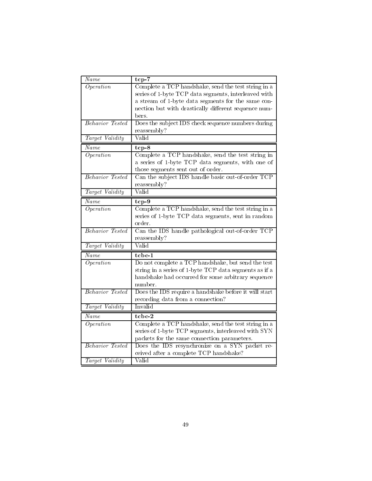| Name                       | $tcp-7$                                                |
|----------------------------|--------------------------------------------------------|
| Operation                  | Complete a TCP handshake, send the test string in a    |
|                            | series of 1-byte TCP data segments, interleaved with   |
|                            | a stream of 1-byte data segments for the same con-     |
|                            | nection but with drastically different sequence num-   |
|                            | bers.                                                  |
| <b>Behavior</b> Tested     | Does the subject IDS check sequence numbers during     |
|                            | reassembly?                                            |
| Target Validity            | Valid                                                  |
| Name                       | $tcp-8$                                                |
| Operation                  | Complete a TCP handshake, send the test string in      |
|                            | a series of 1-byte TCP data segments, with one of      |
|                            | those segments sent out of order.                      |
| <b>Behavior</b> Tested     | Can the subject IDS handle basic out-of-order TCP      |
|                            | reassembly?                                            |
| Target Validity            | Valid                                                  |
| $\overline{\mathit{Name}}$ | $tcp-9$                                                |
| $\overline{Operation}$     | Complete a TCP handshake, send the test string in a    |
|                            | series of 1-byte TCP data segments, sent in random     |
|                            | order.                                                 |
| <b>Behavior</b> Tested     | Can the IDS handle pathological out-of-order TCP       |
|                            | reassembly?                                            |
| Target Validity            | Valid                                                  |
| Name                       | $tcbc-1$                                               |
| Operation                  | Do not complete a TCP handshake, but send the test     |
|                            | string in a series of 1-byte TCP data segments as if a |
|                            | handshake had occurred for some arbitrary sequence     |
|                            | number.                                                |
| <b>Behavior</b> Tested     | Does the IDS require a handshake before it will start  |
|                            | recording data from a connection?                      |
| Target Validity            | Invalid                                                |
| Name                       | tcbc-2                                                 |
| Operation                  | Complete a TCP handshake, send the test string in a    |
|                            | series of 1-byte TCP segments, interleaved with SYN    |
|                            | packets for the same connection parameters.            |
| <b>Behavior</b> Tested     | Does the IDS resynchronize on a SYN packet re-         |
|                            | ceived after a complete TCP handshake?                 |
| <b>Target Validity</b>     | Valid                                                  |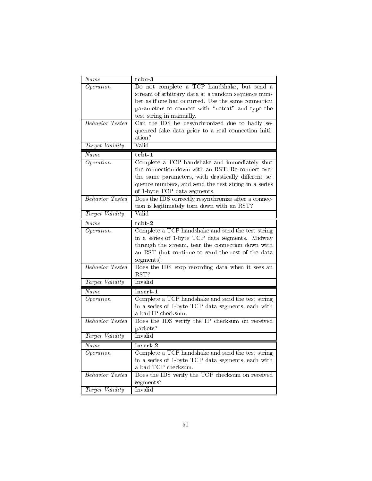| Do not complete a TCP handshake, but send a<br>Operation<br>stream of arbitrary data at a random sequence num-<br>ber as if one had occurred. Use the same connection<br>parameters to connect with "netcat" and type the<br>test string in manually. |  |
|-------------------------------------------------------------------------------------------------------------------------------------------------------------------------------------------------------------------------------------------------------|--|
|                                                                                                                                                                                                                                                       |  |
|                                                                                                                                                                                                                                                       |  |
|                                                                                                                                                                                                                                                       |  |
|                                                                                                                                                                                                                                                       |  |
|                                                                                                                                                                                                                                                       |  |
| <b>Behavior</b> Tested<br>Can the IDS be desynchronized due to badly se-                                                                                                                                                                              |  |
| quenced fake data prior to a real connection initi-                                                                                                                                                                                                   |  |
| ation?                                                                                                                                                                                                                                                |  |
| Valid<br>Target Validity                                                                                                                                                                                                                              |  |
| Name<br>$tcbt-1$                                                                                                                                                                                                                                      |  |
| $\overline{Operation}$<br>Complete a TCP handshake and immediately shut                                                                                                                                                                               |  |
| the connection down with an RST. Re-connect over                                                                                                                                                                                                      |  |
| the same parameters, with drastically different se-                                                                                                                                                                                                   |  |
| quence numbers, and send the test string in a series                                                                                                                                                                                                  |  |
| of 1-byte TCP data segments.                                                                                                                                                                                                                          |  |
| <b>Behavior</b> Tested<br>Does the IDS correctly resynchronize after a connec-                                                                                                                                                                        |  |
| tion is legitimately torn down with an RST?                                                                                                                                                                                                           |  |
| Valid<br>Target Validity                                                                                                                                                                                                                              |  |
| Name<br>$tcbt-2$                                                                                                                                                                                                                                      |  |
| Complete a TCP handshake and send the test string<br>$\overline{Operation}$                                                                                                                                                                           |  |
| in a series of 1-byte TCP data segments. Midway                                                                                                                                                                                                       |  |
| through the stream, tear the connection down with                                                                                                                                                                                                     |  |
| an RST (but continue to send the rest of the data                                                                                                                                                                                                     |  |
| segments).                                                                                                                                                                                                                                            |  |
| <b>Behavior</b> Tested<br>Does the IDS stop recording data when it sees an                                                                                                                                                                            |  |
| RST?                                                                                                                                                                                                                                                  |  |
|                                                                                                                                                                                                                                                       |  |
| Invalid<br>Target Validity                                                                                                                                                                                                                            |  |
| Name<br>insert-1                                                                                                                                                                                                                                      |  |
| $\overline{Operation}$                                                                                                                                                                                                                                |  |
| Complete a TCP handshake and send the test string<br>in a series of 1-byte TCP data segments, each with                                                                                                                                               |  |
| $\,$ a bad IP check<br>sum.                                                                                                                                                                                                                           |  |
| Does the IDS verify the IP checksum on received<br><b>Behavior</b> Tested                                                                                                                                                                             |  |
| packets?                                                                                                                                                                                                                                              |  |
| Target Validity<br>Invalid                                                                                                                                                                                                                            |  |
| Name<br>$_{\rm insert-2}$                                                                                                                                                                                                                             |  |
| Operation<br>Complete a TCP handshake and send the test string                                                                                                                                                                                        |  |
| in a series of 1-byte TCP data segments, each with                                                                                                                                                                                                    |  |
| a bad TCP checksum.                                                                                                                                                                                                                                   |  |
| <b>Behavior</b> Tested<br>Does the IDS verify the TCP checksum on received                                                                                                                                                                            |  |
| segments?                                                                                                                                                                                                                                             |  |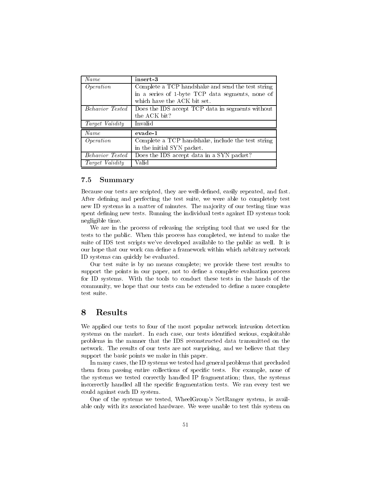| Name                   | insert 3                                          |
|------------------------|---------------------------------------------------|
| Operation              | Complete a TCP handshake and send the test string |
|                        | in a series of 1-byte TCP data segments, none of  |
|                        | which have the ACK bit set.                       |
| Behavior Tested        | Does the IDS accept TCP data in segments without  |
|                        | the ACK bit?                                      |
| <i>Target Validity</i> | Invalid                                           |
| Name                   | evade-1                                           |
| Operation              | Complete a TCP handshake, include the test string |
|                        | in the initial SYN packet.                        |
| <b>Behavior</b> Tested | Does the IDS accept data in a SYN packet?         |
| <i>Target Validity</i> | Valid                                             |

## 7.5 Summary

Because our tests are scripted, they are well-dened, easily repeated, and fast. After defining and perfecting the test suite, we were able to completely test new ID systems in a matter of minutes. The majority of our testing time was spent defining new tests. Running the individual tests against ID systems took negligible time.

We are in the process of releasing the scripting tool that we used for the tests to the public. When this process has completed, we intend to make the suite of IDS test scripts we've developed available to the public as well. It is our hope that our work can define a framework within which arbitrary network ID systems can quickly be evaluated.

Our test suite is by no means complete; we provide these test results to support the points in our paper, not to define a complete evaluation process for ID systems. With the tools to conduct these tests in the hands of the community, we hope that our tests can be extended to define a more complete test suite.

#### 8  $\operatorname{Results}$

We applied our tests to four of the most popular network intrusion detection systems on the market. In each case, our tests identified serious, exploitable problems in the manner that the IDS reconstructed data transmitted on the network. The results of our tests are not surprising, and we believe that they support the basic points we make in this paper.

In many cases, the ID systems we tested had general problems that precluded them from passing entire collections of specic tests. For example, none of the systems we tested correctly handled IP fragmentation; thus, the systems incorrectly handled all the specific fragmentation tests. We ran every test we could against each ID system.

One of the systems we tested, WheelGroup's NetRanger system, is available only with its associated hardware. We were unable to test this system on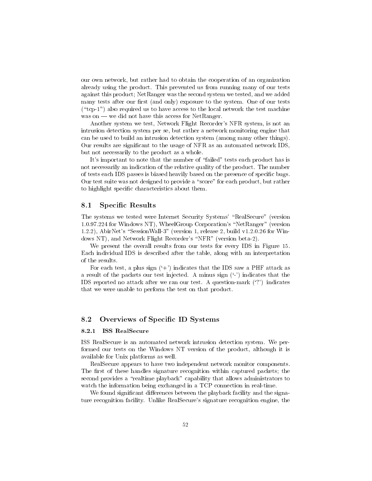our own network, but rather had to obtain the cooperation of an organization already using the product. This prevented us from running many of our tests against this product; NetRanger was the second system we tested, and we added many tests after our first (and only) exposure to the system. One of our tests  $(\text{``top-1''})$  also required us to have access to the local network the test machine was on — we did not have this access for NetRanger.

Another system we test, Network Flight Recorder's NFR system, is not an intrusion detection system per se, but rather a network monitoring engine that can be used to build an intrusion detection system (among many other things). Our results are signicant to the usage of NFR as an automated network IDS, but not necessarily to the product as a whole.

It's important to note that the number of "failed" tests each product has is not necessarily an indication of the relative quality of the product. The number of tests each IDS passes is biased heavily based on the presence of specic bugs. Our test suite was not designed to provide a "score" for each product, but rather to highlight specic characteristics about them.

#### Specific Results 8.1

The systems we tested were Internet Security Systems' "RealSecure" (version 1.0.97.224 for Windows NT), WheelGroup Corporation's \NetRanger" (version 1.2.2), AbirNet's "SessionWall-3" (version 1, release 2, build v1.2.0.26 for Windows NT), and Network Flight Recorder's \NFR" (version beta-2).

We present the overall results from our tests for every IDS in Figure 15. Each individual IDS is described after the table, along with an interpretation of the results.

For each test, a plus sign  $(+)$  indicates that the IDS saw a PHF attack as a result of the packets our test injected. A minus sign (`-') indicates that the IDS reported no attack after we ran our test. A question-mark (`?') indicates that we were unable to perform the test on that product.

#### 8.2 Overviews of Specific ID Systems

#### 8.2.1 ISS RealSecure

ISS RealSecure is an automated network intrusion detection system. We performed our tests on the Windows NT version of the product, although it is available for Unix platforms as well.

RealSecure appears to have two independent network monitor components. The first of these handles signature recognition within captured packets; the second provides a "realtime playback" capability that allows administrators to watch the information being exchanged in a TCP connection in real-time.

We found significant differences between the playback facility and the signature recognition facility. Unlike RealSecure's signature recognition engine, the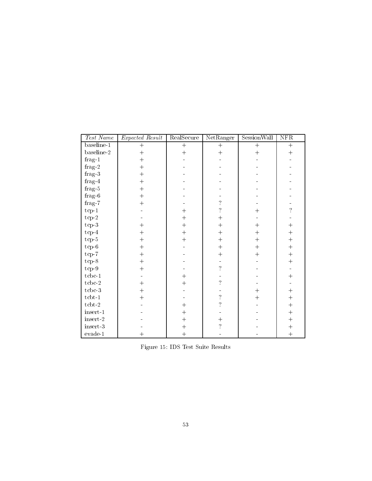| Test Name                         | <b>Expected Result</b> | RealSecure         | NetRanger                | SessionWall | <b>NFR</b>               |  |
|-----------------------------------|------------------------|--------------------|--------------------------|-------------|--------------------------|--|
| baseline-1                        | $+$                    | $+$                | $^{+}$                   | $+$         | $+$                      |  |
| baseline-2                        | $\ddot{}$              | $+$                | $+$                      | $+$         | $+$                      |  |
| $frag-1$                          | $+$                    |                    |                          |             |                          |  |
| ${\rm frag}\ 2$                   | $+$                    |                    |                          |             |                          |  |
| frag <sub>3</sub>                 | $+$                    |                    |                          |             |                          |  |
| $frag-4$                          | $+$                    |                    |                          |             |                          |  |
| $frag-5$                          | $+$                    |                    |                          |             |                          |  |
| $frag-6$                          | $+$                    |                    |                          |             |                          |  |
| $frag-7$                          | $+$                    |                    | $\ddot{\mathcal{C}}$     |             |                          |  |
| $tcp-1$                           |                        | $\overline{+}$     | $\overline{\mathcal{L}}$ | $^{+}$      | $\overline{\mathcal{C}}$ |  |
| $tcp-2$                           |                        | $+$                | $^{+}$                   |             |                          |  |
| $tcp-3$                           | $^{+}$                 | $+$                | $+$                      | $+$         | $+$                      |  |
| $tcp-4$                           | $+$                    | $+$                | $^{+}$                   | $+$         | $+$                      |  |
| $tcp-5$                           | $+$                    | $\ddag$            | $+$                      | $\! +$      | $+$                      |  |
| $_{\rm{tcp-6}}$                   | $+$                    |                    | $+$                      | $\! +$      | $\! + \!$                |  |
| $tcp-7$                           | $+$                    |                    | $^{+}$                   | $+$         | $+$                      |  |
| $tcp-8$                           | $+$                    |                    |                          |             | $+$                      |  |
| $tcp-9$                           | $+$                    |                    | $\overline{\mathcal{L}}$ |             |                          |  |
| $tcbc-1$                          |                        | $+$                |                          |             | $+$                      |  |
| $tcbc-2$                          | $+$                    | $\ddot{}$          | $\overline{\mathcal{E}}$ |             |                          |  |
| $tcbc-3$                          | $+$                    |                    |                          |             | $+$                      |  |
| $tcbt-1$                          | $+$                    |                    | $\ddot{?}$               | $+$         | $+$                      |  |
| $tcbt-2$                          |                        | $\hspace{0.1mm} +$ | $\overline{?}$           |             | $+$                      |  |
| $\operatorname*{insert}\text{-}1$ |                        | $+$                |                          |             | $\! + \!$                |  |
| $\operatorname{insert}\text{-}2$  |                        | $+$                |                          |             | $+$                      |  |
| $insert-3$                        |                        | $^{+}$             | $\frac{+}{?}$            |             | $+$                      |  |
| $evade-1$                         | $^{+}$                 | $^{+}$             |                          |             | $+$                      |  |

Figure 15: IDS Test Suite Results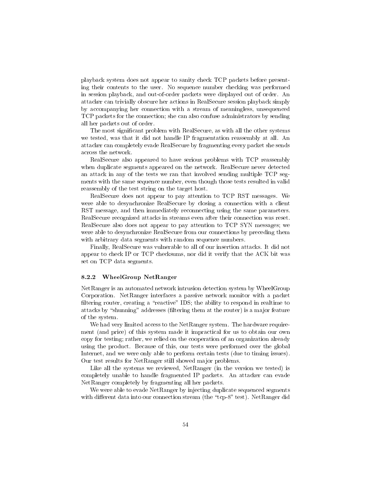playback system does not appear to sanity check TCP packets before presenting their contents to the user. No sequence number checking was performed in session playback, and out-of-order packets were displayed out of order. An attacker can trivially obscure her actions in RealSecure session playback simply by accompanying her connection with a stream of meaningless, unsequenced TCP packets for the connection; she can also confuse administrators by sending all her packets out of order.

The most signicant problem with RealSecure, as with all the other systems we tested, was that it did not handle IP fragmentation reassembly at all. An attacker can completely evade RealSecure by fragmenting every packet she sends across the network.

RealSecure also appeared to have serious problems with TCP reassembly when duplicate segments appeared on the network. RealSecure never detected an attack in any of the tests we ran that involved sending multiple TCP segments with the same sequence number, even though those tests resulted in valid reassembly of the test string on the target host.

RealSecure does not appear to pay attention to TCP RST messages. We were able to desynchronize RealSecure by closing a connection with a client RST message, and then immediately reconnecting using the same parameters. RealSecure recognized attacks in streams even after their connection was reset. RealSecure also does not appear to pay attention to TCP SYN messages; we were able to desynchronize RealSecure from our connections by preceding them with arbitrary data segments with random sequence numbers.

Finally, RealSecure was vulnerable to all of our insertion attacks. It did not appear to check IP or TCP checksums, nor did it verify that the ACK bit was set on TCP data segments.

#### 8.2.2 WheelGroup NetRanger

NetRanger is an automated network intrusion detection system by WheelGroup Corporation. NetRanger interfaces a passive network monitor with a packet filtering router, creating a "reactive" IDS; the ability to respond in realtime to attacks by "shunning" addresses (filtering them at the router) is a major feature of the system.

We had very limited access to the NetRanger system. The hardware requirement (and price) of this system made it impractical for us to obtain our own copy for testing; rather, we relied on the cooperation of an organization already using the product. Because of this, our tests were performed over the global Internet, and we were only able to perform certain tests (due to timing issues). Our test results for NetRanger still showed major problems.

Like all the systems we reviewed, NetRanger (in the version we tested) is completely unable to handle fragmented IP packets. An attacker can evade NetRanger completely by fragmenting all her packets.

We were able to evade NetRanger by injecting duplicate sequenced segments with different data into our connection stream (the "tcp-8" test). NetRanger did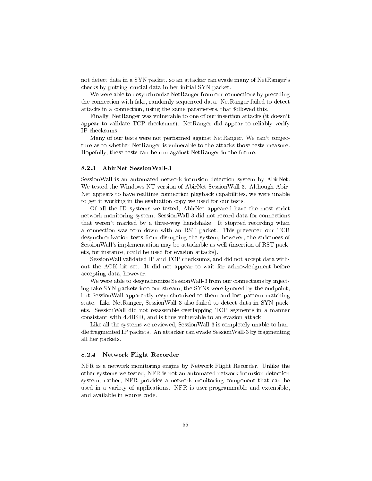not detect data in a SYN packet, so an attacker can evade many of NetRanger's checks by putting crucial data in her initial SYN packet.

We were able to desynchronize NetRanger from our connections by preceding the connection with fake, randomly sequenced data. NetRanger failed to detect attacks in a connection, using the same parameters, that followed this.

Finally, NetRanger was vulnerable to one of our insertion attacks (it doesn't appear to validate TCP checksums). NetRanger did appear to reliably verify IP checksums.

Many of our tests were not performed against NetRanger. We can't conjecture as to whether NetRanger is vulnerable to the attacks those tests measure. Hopefully, these tests can be run against NetRanger in the future.

#### 8.2.3 AbirNet SessionWall-3

SessionWall is an automated network intrusion detection system by AbirNet. We tested the Windows NT version of AbirNet SessionWall-3. Although Abir-Net appears to have realtime connection playback capabilities, we were unable to get it working in the evaluation copy we used for our tests.

Of all the ID systems we tested, AbirNet appeared have the most strict network monitoring system. SessionWall-3 did not record data for connections that weren't marked by a three-way handshake. It stopped recording when a connection was torn down with an RST packet. This prevented our TCB desynchronization tests from disrupting the system; however, the strictness of SessionWall's implementation may be attackable as well (insertion of RST packets, for instance, could be used for evasion attacks).

SessionWall validated IP and TCP checksums, and did not accept data without the ACK bit set. It did not appear to wait for acknowledgment before accepting data, however.

We were able to desynchronize SessionWall-3 from our connections by injecting fake SYN packets into our stream; the SYNs were ignored by the endpoint, but SessionWall apparently resynchronized to them and lost pattern matching state. Like NetRanger, SessionWall-3 also failed to detect data in SYN packets. SessionWall did not reassemble overlapping TCP segments in a manner consistant with 4.4BSD, and is thus vulnerable to an evasion attack.

Like all the systems we reviewed, SessionWall-3 is completely unable to handle fragmented IP packets. An attacker can evade SessionWall-3 by fragmenting all her packets.

#### 8.2.4 Network Flight Recorder

NFR is a network monitoring engine by Network Flight Recorder. Unlike the other systems we tested, NFR is not an automated network intrusion detection system; rather, NFR provides a network monitoring component that can be used in a variety of applications. NFR is user-programmable and extensible, and available in source code.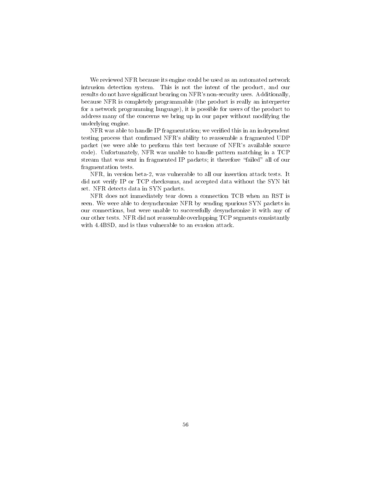We reviewed NFR because its engine could be used as an automated network intrusion detection system. This is not the intent of the product, and our results do not have significant bearing on NFR's non-security uses. Additionally, because NFR is completely programmable (the product is really an interpreter for a network programming language), it is possible for users of the product to address many of the concerns we bring up in our paper without modifying the underlying engine.

NFR was able to handle IP fragmentation; we veried this in an independent testing process that confirmed NFR's ability to reassemble a fragmented UDP packet (we were able to perform this test because of NFR's available source code). Unfortunately, NFR was unable to handle pattern matching in a TCP stream that was sent in fragmented IP packets; it therefore \failed" all of our fragmentation tests.

NFR, in version beta-2, was vulnerable to all our insertion attack tests. It did not verify IP or TCP checksums, and accepted data without the SYN bit set. NFR detects data in SYN packets.

NFR does not immediately tear down a connection TCB when an RST is seen. We were able to desynchronize NFR by sending spurious SYN packets in our connections, but were unable to successfully desynchronize it with any of our other tests. NFR did not reassemble overlapping TCP segments consistantly with 4.4BSD, and is thus vulnerable to an evasion attack.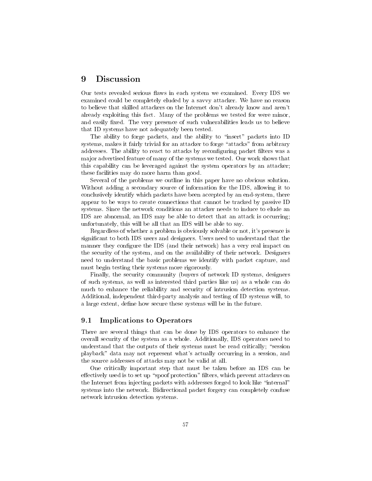## 9 Discussion

Our tests revealed serious flaws in each system we examined. Every IDS we examined could be completely eluded by a savvy attacker. We have no reason to believe that skilled attackers on the Internet don't already know and aren't already exploiting this fact. Many of the problems we tested for were minor, and easily fixed. The very presence of such vulnerabilities leads us to believe that ID systems have not adequately been tested.

The ability to forge packets, and the ability to \insert" packets into ID systems, makes it fairly trivial for an attacker to forge "attacks" from arbitrary addresses. The ability to react to attacks by reconfiguring packet filters was a ma jor advertised feature of many of the systems we tested. Our work shows that this capability can be leveraged against the system operators by an attacker; these facilities may do more harm than good.

Several of the problems we outline in this paper have no obvious solution. Without adding a secondary source of information for the IDS, allowing it to conclusively identify which packets have been accepted by an end-system, there appear to be ways to create connections that cannot be tracked by passive ID systems. Since the network conditions an attacker needs to induce to elude an IDS are abnormal, an IDS may be able to detect that an attack is occurring; unfortunately, this will be all that an IDS will be able to say.

Regardless of whether a problem is obviously solvable or not, it's presence is signicant to both IDS users and designers. Users need to understand that the manner they configure the IDS (and their network) has a very real impact on the security of the system, and on the availability of their network. Designers need to understand the basic problems we identify with packet capture, and must begin testing their systems more rigorously.

Finally, the security community (buyers of network ID systems, designers of such systems, as well as interested third parties like us) as a whole can do much to enhance the reliability and security of intrusion detection systems. Additional, independent third-party analysis and testing of ID systems will, to a large extent, define how secure these systems will be in the future.

### 9.1 Implications to Operators

There are several things that can be done by IDS operators to enhance the overall security of the system as a whole. Additionally, IDS operators need to understand that the outputs of their systems must be read critically; "session playback" data may not represent what's actually occurring in a session, and the source addresses of attacks may not be valid at all.

One critically important step that must be taken before an IDS can be effectively used is to set up "spoof protection" filters, which prevent attackers on the Internet from injecting packets with addresses forged to look like \internal" systems into the network. Bidirectional packet forgery can completely confuse network intrusion detection systems.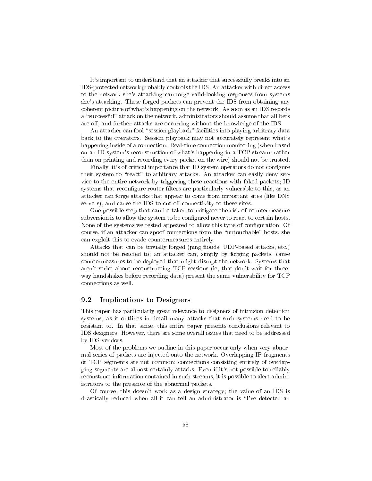It's important to understand that an attacker that successfully breaks into an IDS-protected network probably controls the IDS. An attacker with direct access to the network she's attacking can forge valid-looking responses from systems she's attacking. These forged packets can prevent the IDS from obtaining any coherent picture of what's happening on the network. As soon as an IDS records a "successful" attack on the network, administrators should assume that all bets are off, and further attacks are occurring without the knowledge of the IDS.

An attacker can fool "session playback" facilities into playing arbitrary data back to the operators. Session playback may not accurately represent what's happening inside of a connection. Real-time connection monitoring (when based on an ID system's reconstruction of what's happening in a TCP stream, rather than on printing and recording every packet on the wire) should not be trusted.

Finally, it's of critical importance that ID system operators do not configure their system to "react" to arbitrary attacks. An attacker can easily deny service to the entire network by triggering these reactions with faked packets; ID systems that reconfigure router filters are particularly vulnerable to this, as an attacker can forge attacks that appear to come from important sites (like DNS servers), and cause the IDS to cut off connectivity to these sites.

One possible step that can be taken to mitigate the risk of countermeasure subversion is to allow the system to be configured never to react to certain hosts. None of the systems we tested appeared to allow this type of configuration. Of course, if an attacker can spoof connections from the \untouchable" hosts, she can exploit this to evade countermeasures entirely.

Attacks that can be trivially forged (ping floods, UDP-based attacks, etc.) should not be reacted to; an attacker can, simply by forging packets, cause countermeasures to be deployed that might disrupt the network. Systems that aren't strict about reconstructing TCP sessions (ie, that don't wait for three way handshakes before recording data) present the same vulnerability for TCP connections as well.

#### Implications to Designers 9.2

This paper has particularly great relevance to designers of intrusion detection systems, as it outlines in detail many attacks that such systems need to be resistant to. In that sense, this entire paper presents conclusions relevant to IDS designers. However, there are some overall issues that need to be addressed by IDS vendors.

Most of the problems we outline in this paper occur only when very abnormal series of packets are injected onto the network. Overlapping IP fragments or TCP segments are not common; connections consisting entirely of overlapping segments are almost certainly attacks. Even if it's not possible to reliably reconstruct information contained in such streams, it is possible to alert administrators to the presence of the abnormal packets.

Of course, this doesn't work as a design strategy; the value of an IDS is drastically reduced when all it can tell an administrator is \I've detected an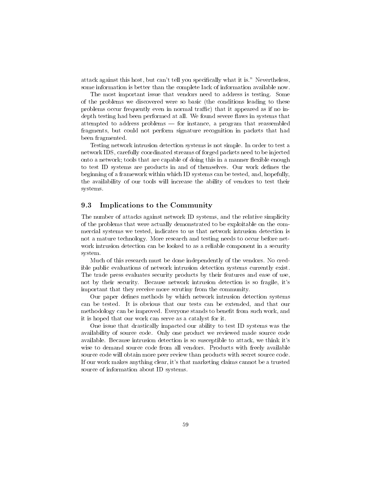attack against this host, but can't tell you specically what it is." Nevertheless, some information is better than the complete lack of information available now.

The most important issue that vendors need to address is testing. Some of the problems we discovered were so basic (the conditions leading to these problems occur frequently even in normal trac) that it appeared as if no indepth testing had been performed at all. We found severe flaws in systems that attempted to address problems - for instance, a program that reassembled fragments, but could not perform signature recognition in packets that had been fragmented. been fragmented.

Testing network intrusion detection systems is not simple. In order to test a network IDS, carefully coordinated streams of forged packets need to be injected onto a network; tools that are capable of doing this in a manner flexible enough to test ID systems are products in and of themselves. Our work defines the beginning of a framework within which ID systems can be tested, and, hopefully, the availability of our tools will increase the ability of vendors to test their systems.

#### Implications to the Community  $9.3$

The number of attacks against network ID systems, and the relative simplicity of the problems that were actually demonstrated to be exploitable on the commercial systems we tested, indicates to us that network intrusion detection is not a mature technology. More research and testing needs to occur before net work intrusion detection can be looked to as a reliable component in a security system.

Much of this research must be done independently of the vendors. No credible public evaluations of network intrusion detection systems currently exist. The trade press evaluates security products by their features and ease of use, not by their security. Because network intrusion detection is so fragile, it's important that they receive more scrutiny from the community.

Our paper defines methods by which network intrusion detection systems can be tested. It is obvious that our tests can be extended, and that our methodology can be improved. Everyone stands to benefit from such work, and it is hoped that our work can serve as a catalyst for it.

One issue that drastically impacted our ability to test ID systems was the availability of source code. Only one product we reviewed made source code available. Because intrusion detection is so susceptible to attack, we think it's wise to demand source code from all vendors. Products with freely available source code will obtain more peer review than products with secret source code. If our work makes anything clear, it's that marketing claims cannot be a trusted source of information about ID systems.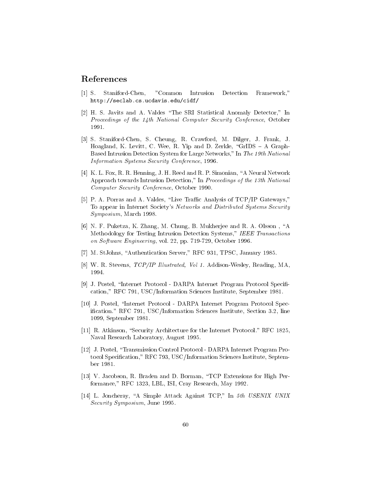## References

- [1] S. Staniford-Chen, "Common Intrusion Detection Framework," http://seclab.cs.ucdavis.edu/cidf/
- [2] H. S. Javits and A. Valdes \The SRI Statistical Anomaly Detector," In Proceedings of the 14th National Computer Security Conference, October 1991.
- [3] S. Staniford-Chen, S. Cheung, R. Crawford, M. Dilger, J. Frank, J. Hoagland, K. Levitt, C. Wee, R. Yip and D. Zerkle, " $GrIDS - A Graph-$ Based Intrusion Detection System for Large Networks," In The 19th National Information Systems Security Conference, 1996.
- [4] K. L. Fox, R. R. Henning, J. H. Reed and R. P. Simonian, \A Neural Network Approach towards Intrusion Detection," In Proceedings of the 13th National Computer Security Conference, October 1990.
- [5] P. A. Porras and A. Valdes, "Live Traffic Analysis of  $TCP/IP$  Gateways," To appear in Internet Society's Networks and Distributed Systems Security Symposium, March 1998.
- [6] N. F. Puketza, K. Zhang, M. Chung, B. Mukherjee and R. A. Olsson, "A Methodology for Testing Intrusion Detection Systems," IEEE Transactions on Software Engineering, vol. 22, pp. 719-729, October 1996.
- [7] M. StJohns, "Authentication Server," RFC 931, TPSC, January 1985.
- [8] W. R. Stevens,  $TCP/IP$  Illustrated, Vol 1. Addison-Wesley, Reading, MA, 1994.
- [9] J. Postel, "Internet Protocol DARPA Internet Program Protocol Specification," RFC 791, USC/Information Sciences Institute, September 1981.
- [10] J. Postel, "Internet Protocol DARPA Internet Program Protocol Specification." RFC 791, USC/Information Sciences Institute, Section 3.2, line 1099, September 1981.
- [11] R. Atkinson, "Security Architecture for the Internet Protocol." RFC 1825, Naval Research Laboratory, August 1995.
- [12] J. Postel, \Transmission Control Protocol DARPA Internet Program Protocol Specification," RFC 793, USC/Information Sciences Institute, September 1981.
- [13] V. Jacobson, R. Braden and D. Borman, "TCP Extensions for High Performance," RFC 1323, LBL, ISI, Cray Research, May 1992.
- [14] L. Joncheray, "A Simple Attack Against TCP," In 5th USENIX UNIX Security Symposium, June 1995.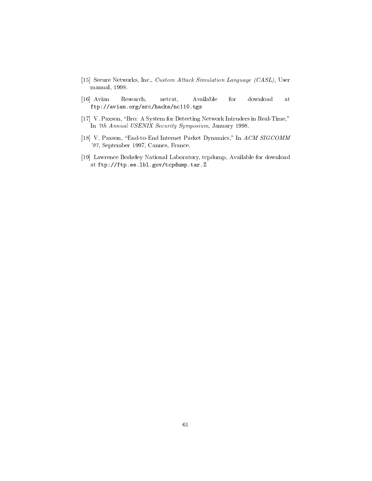- [15] Secure Networks, Inc., Custom Attack Simulation Language (CASL), User manual, 1998.
- [16] Avian Research, netcat, Available for download at ftp://avian.org/src/hacks/nc110.tgz
- [17] V. Paxson, "Bro: A System for Detecting Network Intruders in Real-Time," In 7th Annual USENIX Security Symposium, January 1998.
- [18] V. Paxson, "End-to-End Internet Packet Dynamics," In ACM SIGCOMM '97, September 1997, Cannes, France.
- [19] Lawrence Berkeley National Laboratory, tcpdump, Available for download at ftp://ftp.ee.lbl.gov/tcpdump.tar.Z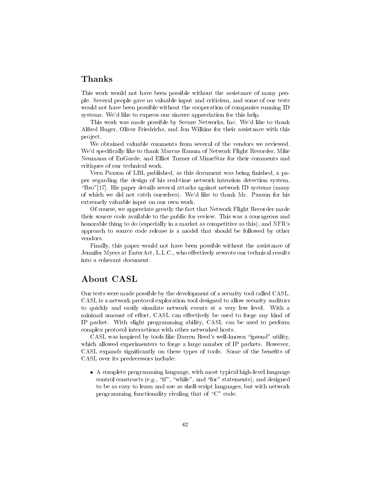## Thanks

This work would not have been possible without the assistance of many people. Several people gave us valuable input and criticism, and some of our tests would not have been possible without the cooperation of companies running ID systems. We'd like to express our sincere appreciation for this help.

This work was made possible by Secure Networks, Inc. We'd like to thank Alfred Huger, Oliver Friedrichs, and Jon Wilkins for their assistance with this pro ject.

We obtained valuable comments from several of the vendors we reviewed. We'd specically like to thank Marcus Ranum of Network Flight Recorder, Mike Neumann of EnGarde, and Elliot Turner of MimeStar for their comments and critiques of our technical work.

Vern Paxson of LBL published, as this document was being finished, a paper regarding the design of his real-time network intrusion detection system, " $\text{Bro"}[17]$ . His paper details several attacks against network ID systems (many of which we did not catch ourselves). We'd like to thank Mr. Paxson for his extremely valuable input on our own work.

Of course, we appreciate greatly the fact that Network Flight Recorder made their source code available to the public for review. This was a courageous and honorable thing to do (especially in a market as competitive as this), and NFR's approach to source code release is a model that should be followed by other vendors.

Finally, this paper would not have been possible without the assistance of Jennifer Myers at EnterAct, L.L.C., who effectively rewrote our technical results into a coherant document.

# About CASL

Our tests were made possible by the development of a security tool called CASL. CASL is a network protocol exploration tool designed to allow security auditors to quickly and easily simulate network events at a very low level. With a minimal amount of effort, CASL can effectively be used to forge any kind of IP packet. With slight programming ability, CASL can be used to perform complex protocol interactions with other networked hosts.

CASL was inspired by tools like Darren Reed's well-known "ipsend" utility, which allowed experimenters to forge a large number of IP packets. However, CASL expands signicantly on these types of tools. Some of the benets of CASL over its predecessors include:

A complete programming language, with most typical high-level language, with most typical high-level language, control constructs (e.g., "if", "while", and "for" statements), and designed to be as easy to learn and use as shell-script languages, but with network programming functionality rivaling that of \C" code.